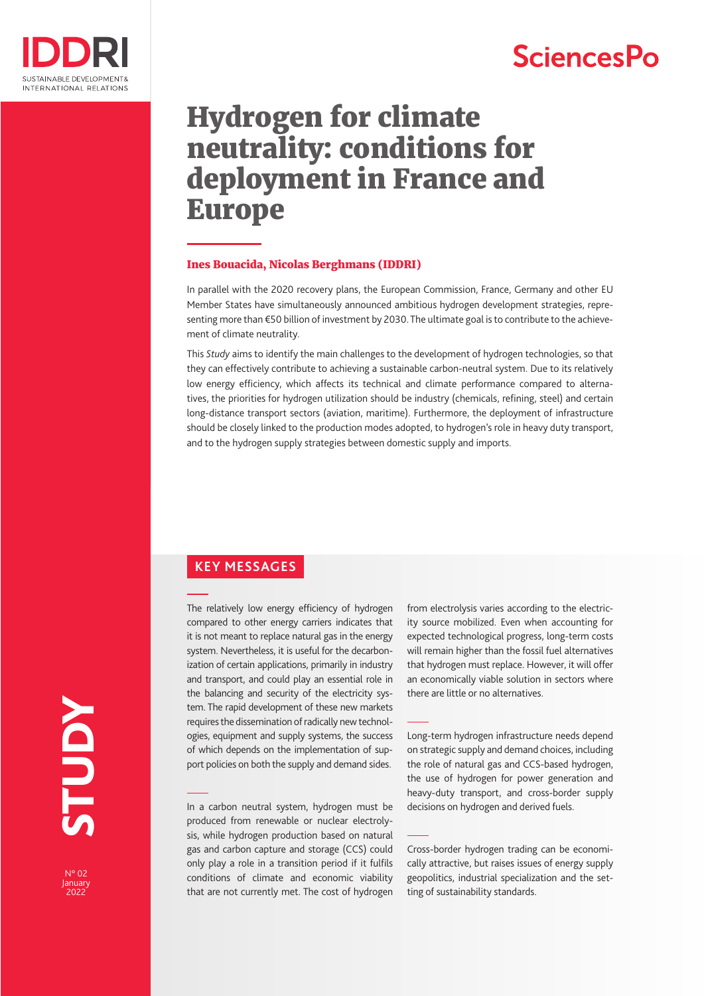# **SciencesPo**



# Hydrogen for climate neutrality: conditions for deployment in France and Europe

#### Ines Bouacida, Nicolas Berghmans (IDDRI)

In parallel with the 2020 recovery plans, the European Commission, France, Germany and other EU Member States have simultaneously announced ambitious hydrogen development strategies, representing more than €50 billion of investment by 2030. The ultimate goal is to contribute to the achievement of climate neutrality.

This *Study* aims to identify the main challenges to the development of hydrogen technologies, so that they can effectively contribute to achieving a sustainable carbon-neutral system. Due to its relatively low energy efficiency, which affects its technical and climate performance compared to alternatives, the priorities for hydrogen utilization should be industry (chemicals, refining, steel) and certain long-distance transport sectors (aviation, maritime). Furthermore, the deployment of infrastructure should be closely linked to the production modes adopted, to hydrogen's role in heavy duty transport, and to the hydrogen supply strategies between domestic supply and imports.

# **KEY MESSAGES**

The relatively low energy efficiency of hydrogen compared to other energy carriers indicates that it is not meant to replace natural gas in the energy system. Nevertheless, it is useful for the decarbonization of certain applications, primarily in industry and transport, and could play an essential role in the balancing and security of the electricity system. The rapid development of these new markets requires the dissemination of radically new technologies, equipment and supply systems, the success of which depends on the implementation of support policies on both the supply and demand sides.

In a carbon neutral system, hydrogen must be produced from renewable or nuclear electrolysis, while hydrogen production based on natural gas and carbon capture and storage (CCS) could only play a role in a transition period if it fulfils conditions of climate and economic viability that are not currently met. The cost of hydrogen from electrolysis varies according to the electricity source mobilized. Even when accounting for expected technological progress, long-term costs will remain higher than the fossil fuel alternatives that hydrogen must replace. However, it will offer an economically viable solution in sectors where there are little or no alternatives.

Long-term hydrogen infrastructure needs depend on strategic supply and demand choices, including the role of natural gas and CCS-based hydrogen, the use of hydrogen for power generation and heavy-duty transport, and cross-border supply decisions on hydrogen and derived fuels.

Cross-border hydrogen trading can be economically attractive, but raises issues of energy supply geopolitics, industrial specialization and the setting of sustainability standards.

**2022** STUDY **NGNLS** 

N° 02 January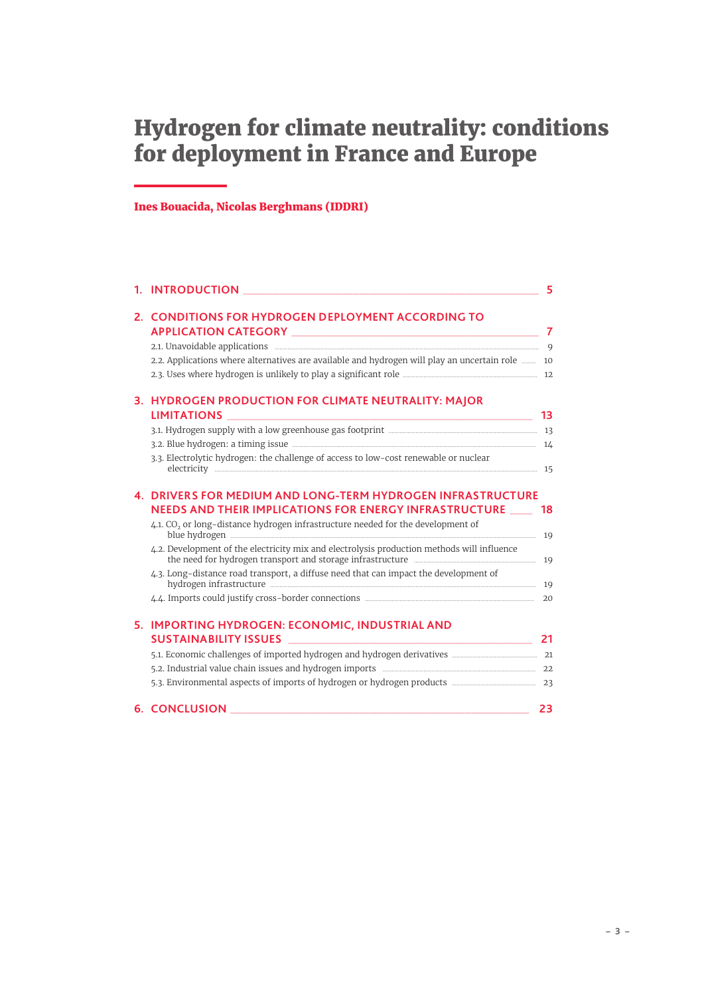# Hydrogen for climate neutrality: conditions for deployment in France and Europe

# Ines Bouacida, Nicolas Berghmans (IDDRI)

|  | 2. CONDITIONS FOR HYDROGEN DEPLOYMENT ACCORDING TO                                                                                                                                                                                           |          |
|--|----------------------------------------------------------------------------------------------------------------------------------------------------------------------------------------------------------------------------------------------|----------|
|  |                                                                                                                                                                                                                                              |          |
|  | 2.2. Applications where alternatives are available and hydrogen will play an uncertain role  10                                                                                                                                              |          |
|  |                                                                                                                                                                                                                                              |          |
|  | 3. HYDROGEN PRODUCTION FOR CLIMATE NEUTRALITY: MAJOR                                                                                                                                                                                         | 13       |
|  |                                                                                                                                                                                                                                              |          |
|  |                                                                                                                                                                                                                                              |          |
|  | 3.3. Electrolytic hydrogen: the challenge of access to low-cost renewable or nuclear                                                                                                                                                         |          |
|  | <b>4. DRIVERS FOR MEDIUM AND LONG-TERM HYDROGEN INFRASTRUCTURE</b><br>NEEDS AND THEIR IMPLICATIONS FOR ENERGY INFRASTRUCTURE<br>4.1. CO <sub>2</sub> or long-distance hydrogen infrastructure needed for the development of<br>blue hydrogen | 18<br>19 |
|  | 4.2. Development of the electricity mix and electrolysis production methods will influence                                                                                                                                                   |          |
|  | 4.3. Long-distance road transport, a diffuse need that can impact the development of                                                                                                                                                         |          |
|  |                                                                                                                                                                                                                                              |          |
|  | 5. IMPORTING HYDROGEN: ECONOMIC, INDUSTRIAL AND                                                                                                                                                                                              |          |
|  |                                                                                                                                                                                                                                              | 21       |
|  |                                                                                                                                                                                                                                              |          |
|  |                                                                                                                                                                                                                                              |          |
|  |                                                                                                                                                                                                                                              |          |
|  | <b>6. CONCLUSION</b>                                                                                                                                                                                                                         | 23       |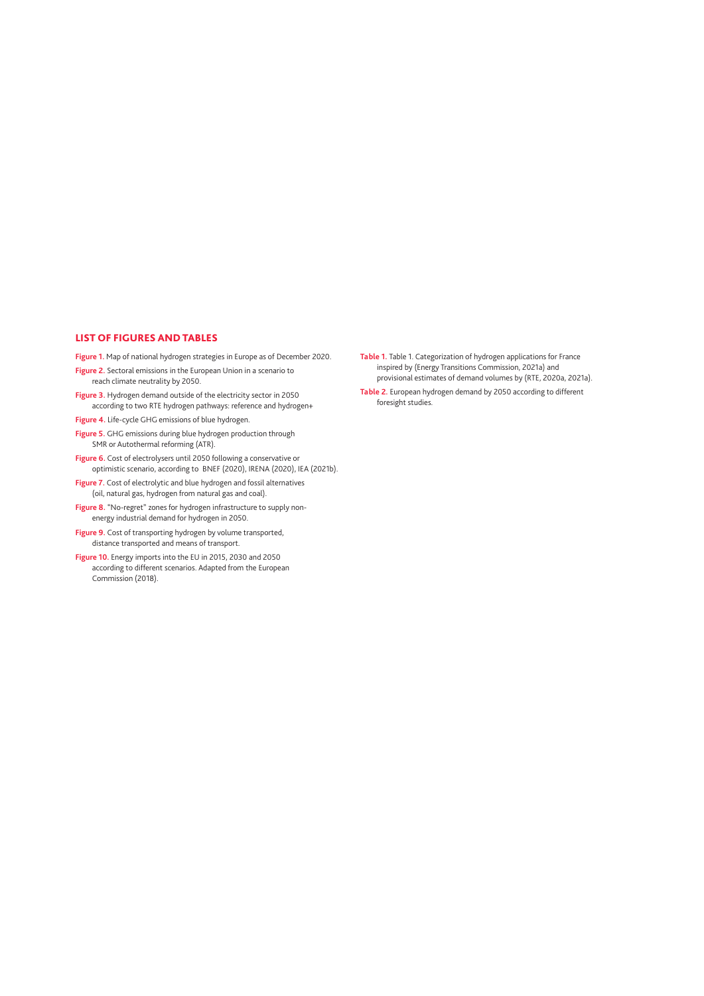#### LIST OF FIGURES AND TABLES

**Figure 1.** Map of national hydrogen strategies in Europe as of December 2020.

- **Figure 2.** Sectoral emissions in the European Union in a scenario to reach climate neutrality by 2050.
- **Figure 3.** Hydrogen demand outside of the electricity sector in 2050 according to two RTE hydrogen pathways: reference and hydrogen+
- **Figure 4.** Life-cycle GHG emissions of blue hydrogen.
- **Figure 5.** GHG emissions during blue hydrogen production through SMR or Autothermal reforming (ATR).
- **Figure 6.** Cost of electrolysers until 2050 following a conservative or optimistic scenario, according to BNEF (2020), IRENA (2020), IEA (2021b).
- **Figure 7.** Cost of electrolytic and blue hydrogen and fossil alternatives (oil, natural gas, hydrogen from natural gas and coal).
- **Figure 8.** "No-regret" zones for hydrogen infrastructure to supply nonenergy industrial demand for hydrogen in 2050.
- **Figure 9.** Cost of transporting hydrogen by volume transported, distance transported and means of transport.
- **Figure 10.** Energy imports into the EU in 2015, 2030 and 2050 according to different scenarios. Adapted from the European Commission (2018).
- **Table 1.** Table 1. Categorization of hydrogen applications for France inspired by (Energy Transitions Commission, 2021a) and provisional estimates of demand volumes by (RTE, 2020a, 2021a).
- **Table 2.** European hydrogen demand by 2050 according to different foresight studies.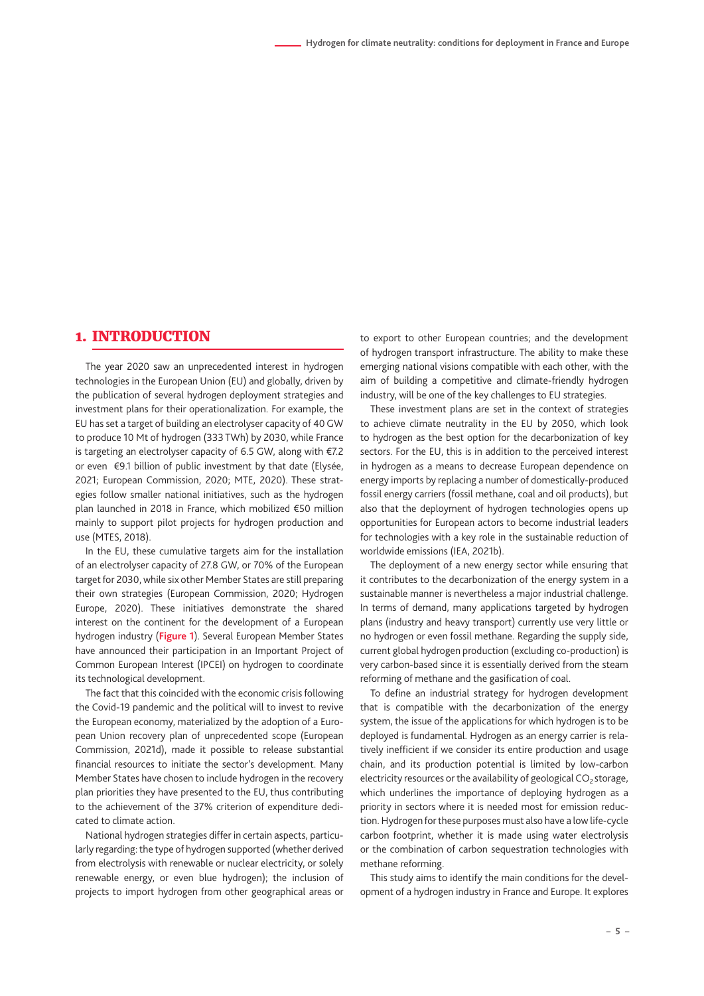### <span id="page-4-0"></span>1. INTRODUCTION

The year 2020 saw an unprecedented interest in hydrogen technologies in the European Union (EU) and globally, driven by the publication of several hydrogen deployment strategies and investment plans for their operationalization. For example, the EU has set a target of building an electrolyser capacity of 40 GW to produce 10 Mt of hydrogen (333 TWh) by 2030, while France is targeting an electrolyser capacity of 6.5 GW, along with €7.2 or even €9.1 billion of public investment by that date (Elysée, 2021; European Commission, 2020; MTE, 2020). These strategies follow smaller national initiatives, such as the hydrogen plan launched in 2018 in France, which mobilized €50 million mainly to support pilot projects for hydrogen production and use (MTES, 2018).

In the EU, these cumulative targets aim for the installation of an electrolyser capacity of 27.8 GW, or 70% of the European target for 2030, while six other Member States are still preparing their own strategies (European Commission, 2020; Hydrogen Europe, 2020). These initiatives demonstrate the shared interest on the continent for the development of a European hydrogen industry (**Figure 1**). Several European Member States have announced their participation in an Important Project of Common European Interest (IPCEI) on hydrogen to coordinate its technological development.

The fact that this coincided with the economic crisis following the Covid-19 pandemic and the political will to invest to revive the European economy, materialized by the adoption of a European Union recovery plan of unprecedented scope (European Commission, 2021d), made it possible to release substantial financial resources to initiate the sector's development. Many Member States have chosen to include hydrogen in the recovery plan priorities they have presented to the EU, thus contributing to the achievement of the 37% criterion of expenditure dedicated to climate action.

National hydrogen strategies differ in certain aspects, particularly regarding: the type of hydrogen supported (whether derived from electrolysis with renewable or nuclear electricity, or solely renewable energy, or even blue hydrogen); the inclusion of projects to import hydrogen from other geographical areas or

to export to other European countries; and the development of hydrogen transport infrastructure. The ability to make these emerging national visions compatible with each other, with the aim of building a competitive and climate-friendly hydrogen industry, will be one of the key challenges to EU strategies.

These investment plans are set in the context of strategies to achieve climate neutrality in the EU by 2050, which look to hydrogen as the best option for the decarbonization of key sectors. For the EU, this is in addition to the perceived interest in hydrogen as a means to decrease European dependence on energy imports by replacing a number of domestically-produced fossil energy carriers (fossil methane, coal and oil products), but also that the deployment of hydrogen technologies opens up opportunities for European actors to become industrial leaders for technologies with a key role in the sustainable reduction of worldwide emissions (IEA, 2021b).

The deployment of a new energy sector while ensuring that it contributes to the decarbonization of the energy system in a sustainable manner is nevertheless a major industrial challenge. In terms of demand, many applications targeted by hydrogen plans (industry and heavy transport) currently use very little or no hydrogen or even fossil methane. Regarding the supply side, current global hydrogen production (excluding co-production) is very carbon-based since it is essentially derived from the steam reforming of methane and the gasification of coal.

To define an industrial strategy for hydrogen development that is compatible with the decarbonization of the energy system, the issue of the applications for which hydrogen is to be deployed is fundamental. Hydrogen as an energy carrier is relatively inefficient if we consider its entire production and usage chain, and its production potential is limited by low-carbon electricity resources or the availability of geological  $CO<sub>2</sub>$ storage, which underlines the importance of deploying hydrogen as a priority in sectors where it is needed most for emission reduction. Hydrogen for these purposes must also have a low life-cycle carbon footprint, whether it is made using water electrolysis or the combination of carbon sequestration technologies with methane reforming.

This study aims to identify the main conditions for the development of a hydrogen industry in France and Europe. It explores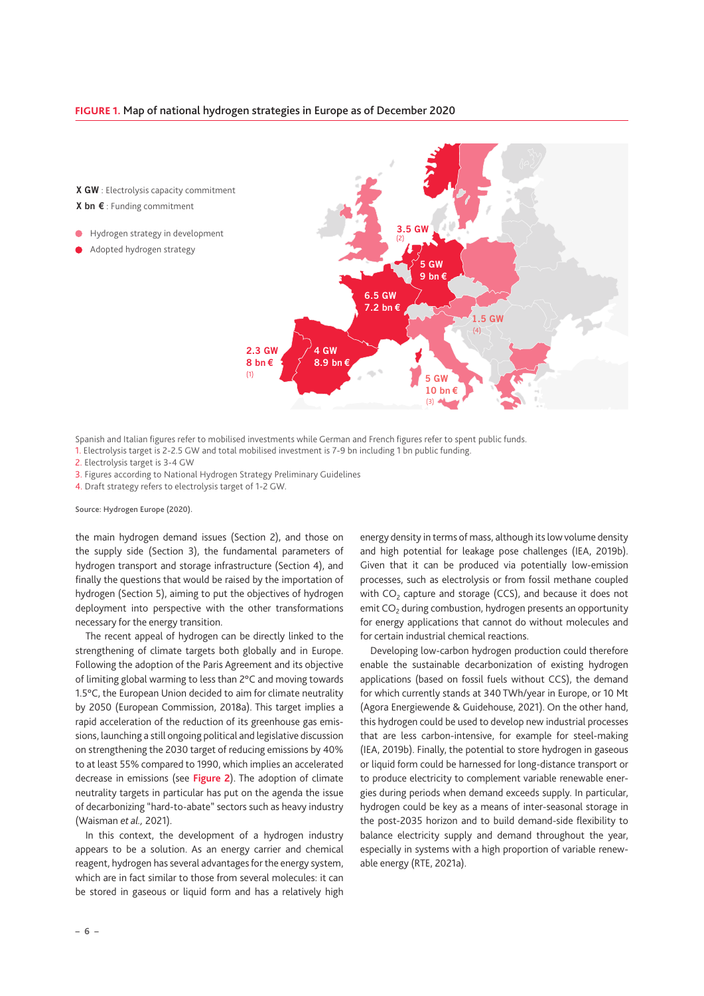#### **FIGURE 1.** Map of national hydrogen strategies in Europe as of December 2020

X GW : Electrolysis capacity commitment X bn € : Funding commitment

Hydrogen strategy in development

Adopted hydrogen strategy



Spanish and Italian figures refer to mobilised investments while German and French figures refer to spent public funds.

1. Electrolysis target is 2-2.5 GW and total mobilised investment is 7-9 bn including 1 bn public funding.

2. Electrolysis target is 3-4 GW

3. Figures according to National Hydrogen Strategy Preliminary Guidelines

4. Draft strategy refers to electrolysis target of 1-2 GW.

Source: Hydrogen Europe (2020).

the main hydrogen demand issues (Section 2), and those on the supply side (Section 3), the fundamental parameters of hydrogen transport and storage infrastructure (Section 4), and finally the questions that would be raised by the importation of hydrogen (Section 5), aiming to put the objectives of hydrogen deployment into perspective with the other transformations necessary for the energy transition.

The recent appeal of hydrogen can be directly linked to the strengthening of climate targets both globally and in Europe. Following the adoption of the Paris Agreement and its objective of limiting global warming to less than 2°C and moving towards 1.5°C, the European Union decided to aim for climate neutrality by 2050 (European Commission, 2018a). This target implies a rapid acceleration of the reduction of its greenhouse gas emissions, launching a still ongoing political and legislative discussion on strengthening the 2030 target of reducing emissions by 40% to at least 55% compared to 1990, which implies an accelerated decrease in emissions (see **Figure 2**). The adoption of climate neutrality targets in particular has put on the agenda the issue of decarbonizing "hard-to-abate" sectors such as heavy industry (Waisman *et al.,* 2021).

In this context, the development of a hydrogen industry appears to be a solution. As an energy carrier and chemical reagent, hydrogen has several advantages for the energy system, which are in fact similar to those from several molecules: it can be stored in gaseous or liquid form and has a relatively high

energy density in terms of mass, although its low volume density and high potential for leakage pose challenges (IEA, 2019b). Given that it can be produced via potentially low-emission processes, such as electrolysis or from fossil methane coupled with  $CO<sub>2</sub>$  capture and storage (CCS), and because it does not emit  $CO<sub>2</sub>$  during combustion, hydrogen presents an opportunity for energy applications that cannot do without molecules and for certain industrial chemical reactions.

Developing low-carbon hydrogen production could therefore enable the sustainable decarbonization of existing hydrogen applications (based on fossil fuels without CCS), the demand for which currently stands at 340 TWh/year in Europe, or 10 Mt (Agora Energiewende & Guidehouse, 2021). On the other hand, this hydrogen could be used to develop new industrial processes that are less carbon-intensive, for example for steel-making (IEA, 2019b). Finally, the potential to store hydrogen in gaseous or liquid form could be harnessed for long-distance transport or to produce electricity to complement variable renewable energies during periods when demand exceeds supply. In particular, hydrogen could be key as a means of inter-seasonal storage in the post-2035 horizon and to build demand-side flexibility to balance electricity supply and demand throughout the year, especially in systems with a high proportion of variable renewable energy (RTE, 2021a).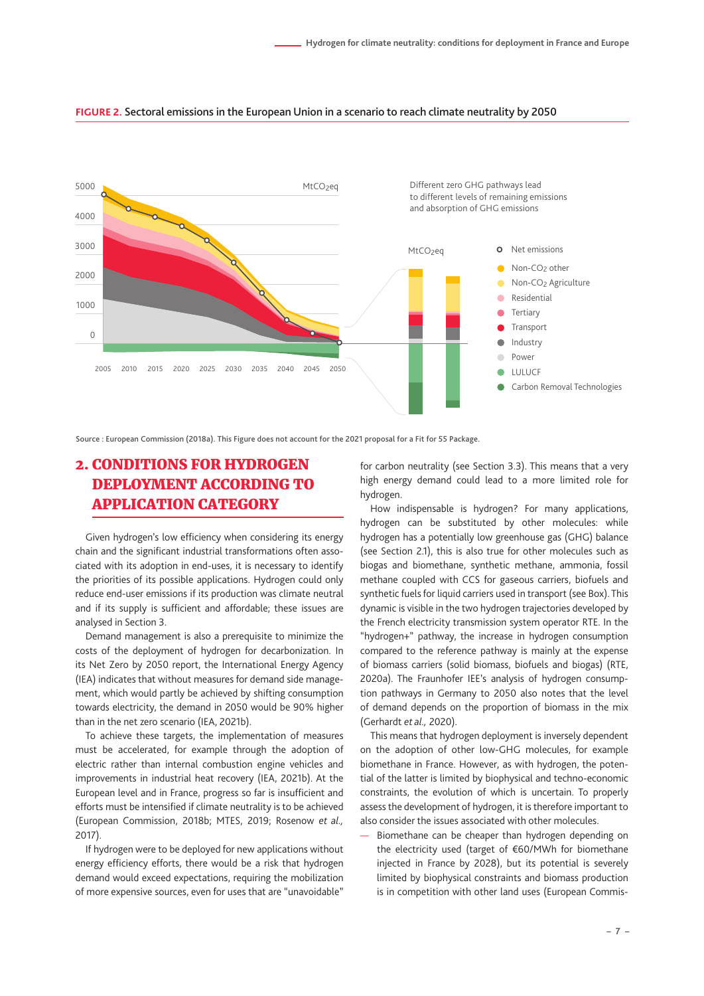

#### <span id="page-6-0"></span>**FIGURE 2.** Sectoral emissions in the European Union in a scenario to reach climate neutrality by 2050

Source : European Commission (2018a). This Figure does not account for the 2021 proposal for a Fit for 55 Package.

# 2. CONDITIONS FOR HYDROGEN DEPLOYMENT ACCORDING TO APPLICATION CATEGORY

Given hydrogen's low efficiency when considering its energy chain and the significant industrial transformations often associated with its adoption in end-uses, it is necessary to identify the priorities of its possible applications. Hydrogen could only reduce end-user emissions if its production was climate neutral and if its supply is sufficient and affordable; these issues are analysed in Section 3.

Demand management is also a prerequisite to minimize the costs of the deployment of hydrogen for decarbonization. In its Net Zero by 2050 report, the International Energy Agency (IEA) indicates that without measures for demand side management, which would partly be achieved by shifting consumption towards electricity, the demand in 2050 would be 90% higher than in the net zero scenario (IEA, 2021b).

To achieve these targets, the implementation of measures must be accelerated, for example through the adoption of electric rather than internal combustion engine vehicles and improvements in industrial heat recovery (IEA, 2021b). At the European level and in France, progress so far is insufficient and efforts must be intensified if climate neutrality is to be achieved (European Commission, 2018b; MTES, 2019; Rosenow *et al.,* 2017).

If hydrogen were to be deployed for new applications without energy efficiency efforts, there would be a risk that hydrogen demand would exceed expectations, requiring the mobilization of more expensive sources, even for uses that are "unavoidable"

for carbon neutrality (see Section 3.3). This means that a very high energy demand could lead to a more limited role for hydrogen.

How indispensable is hydrogen? For many applications, hydrogen can be substituted by other molecules: while hydrogen has a potentially low greenhouse gas (GHG) balance (see Section 2.1), this is also true for other molecules such as biogas and biomethane, synthetic methane, ammonia, fossil methane coupled with CCS for gaseous carriers, biofuels and synthetic fuels for liquid carriers used in transport (see Box). This dynamic is visible in the two hydrogen trajectories developed by the French electricity transmission system operator RTE. In the "hydrogen+" pathway, the increase in hydrogen consumption compared to the reference pathway is mainly at the expense of biomass carriers (solid biomass, biofuels and biogas) (RTE, 2020a). The Fraunhofer IEE's analysis of hydrogen consumption pathways in Germany to 2050 also notes that the level of demand depends on the proportion of biomass in the mix (Gerhardt *et al.,* 2020).

This means that hydrogen deployment is inversely dependent on the adoption of other low-GHG molecules, for example biomethane in France. However, as with hydrogen, the potential of the latter is limited by biophysical and techno-economic constraints, the evolution of which is uncertain. To properly assess the development of hydrogen, it is therefore important to also consider the issues associated with other molecules.

Biomethane can be cheaper than hydrogen depending on the electricity used (target of €60/MWh for biomethane injected in France by 2028), but its potential is severely limited by biophysical constraints and biomass production is in competition with other land uses (European Commis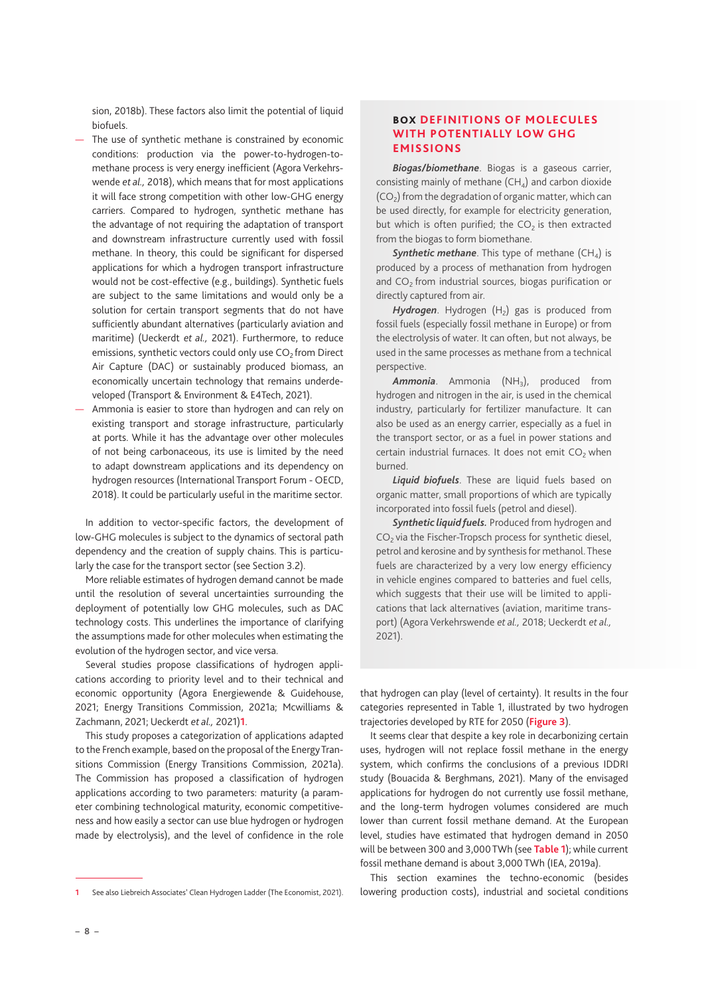sion, 2018b). These factors also limit the potential of liquid biofuels.

- The use of synthetic methane is constrained by economic conditions: production via the power-to-hydrogen-tomethane process is very energy inefficient (Agora Verkehrswende *et al.,* 2018), which means that for most applications it will face strong competition with other low-GHG energy carriers. Compared to hydrogen, synthetic methane has the advantage of not requiring the adaptation of transport and downstream infrastructure currently used with fossil methane. In theory, this could be significant for dispersed applications for which a hydrogen transport infrastructure would not be cost-effective (e.g., buildings). Synthetic fuels are subject to the same limitations and would only be a solution for certain transport segments that do not have sufficiently abundant alternatives (particularly aviation and maritime) (Ueckerdt *et al.,* 2021). Furthermore, to reduce emissions, synthetic vectors could only use  $CO<sub>2</sub>$  from Direct Air Capture (DAC) or sustainably produced biomass, an economically uncertain technology that remains underdeveloped (Transport & Environment & E4Tech, 2021).
- Ammonia is easier to store than hydrogen and can rely on existing transport and storage infrastructure, particularly at ports. While it has the advantage over other molecules of not being carbonaceous, its use is limited by the need to adapt downstream applications and its dependency on hydrogen resources (International Transport Forum - OECD, 2018). It could be particularly useful in the maritime sector.

In addition to vector-specific factors, the development of low-GHG molecules is subject to the dynamics of sectoral path dependency and the creation of supply chains. This is particularly the case for the transport sector (see Section 3.2).

More reliable estimates of hydrogen demand cannot be made until the resolution of several uncertainties surrounding the deployment of potentially low GHG molecules, such as DAC technology costs. This underlines the importance of clarifying the assumptions made for other molecules when estimating the evolution of the hydrogen sector, and vice versa.

Several studies propose classifications of hydrogen applications according to priority level and to their technical and economic opportunity (Agora Energiewende & Guidehouse, 2021; Energy Transitions Commission, 2021a; Mcwilliams & Zachmann, 2021; Ueckerdt *et al.,* 2021)**1**.

This study proposes a categorization of applications adapted to the French example, based on the proposal of the Energy Transitions Commission (Energy Transitions Commission, 2021a). The Commission has proposed a classification of hydrogen applications according to two parameters: maturity (a parameter combining technological maturity, economic competitiveness and how easily a sector can use blue hydrogen or hydrogen made by electrolysis), and the level of confidence in the role

#### BOX **DEFINITIONS OF MOLECULES WITH POTENTIALLY LOW GHG EMISSIONS**

*Biogas/biomethane*. Biogas is a gaseous carrier, consisting mainly of methane  $(CH<sub>4</sub>)$  and carbon dioxide  $(CO<sub>2</sub>)$  from the degradation of organic matter, which can be used directly, for example for electricity generation, but which is often purified; the  $CO<sub>2</sub>$  is then extracted from the biogas to form biomethane.

**Synthetic methane**. This type of methane  $(CH_4)$  is produced by a process of methanation from hydrogen and CO<sub>2</sub> from industrial sources, biogas purification or directly captured from air.

*Hydrogen*. Hydrogen (H<sub>2</sub>) gas is produced from fossil fuels (especially fossil methane in Europe) or from the electrolysis of water. It can often, but not always, be used in the same processes as methane from a technical perspective.

Ammonia. Ammonia (NH<sub>3</sub>), produced from hydrogen and nitrogen in the air, is used in the chemical industry, particularly for fertilizer manufacture. It can also be used as an energy carrier, especially as a fuel in the transport sector, or as a fuel in power stations and certain industrial furnaces. It does not emit  $CO<sub>2</sub>$  when burned.

*Liquid biofuels*. These are liquid fuels based on organic matter, small proportions of which are typically incorporated into fossil fuels (petrol and diesel).

*Synthetic liquid fuels.* Produced from hydrogen and  $CO<sub>2</sub>$  via the Fischer-Tropsch process for synthetic diesel, petrol and kerosine and by synthesis for methanol. These fuels are characterized by a very low energy efficiency in vehicle engines compared to batteries and fuel cells, which suggests that their use will be limited to applications that lack alternatives (aviation, maritime transport) (Agora Verkehrswende *et al.,* 2018; Ueckerdt *et al.,* 2021).

that hydrogen can play (level of certainty). It results in the four categories represented in Table 1, illustrated by two hydrogen trajectories developed by RTE for 2050 (**Figure 3**).

It seems clear that despite a key role in decarbonizing certain uses, hydrogen will not replace fossil methane in the energy system, which confirms the conclusions of a previous IDDRI study (Bouacida & Berghmans, 2021). Many of the envisaged applications for hydrogen do not currently use fossil methane, and the long-term hydrogen volumes considered are much lower than current fossil methane demand. At the European level, studies have estimated that hydrogen demand in 2050 will be between 300 and 3,000 TWh (see **Table 1**); while current fossil methane demand is about 3,000 TWh (IEA, 2019a).

This section examines the techno-economic (besides lowering production costs), industrial and societal conditions

**<sup>1</sup>** See also Liebreich Associates' Clean Hydrogen Ladder (The Economist, 2021).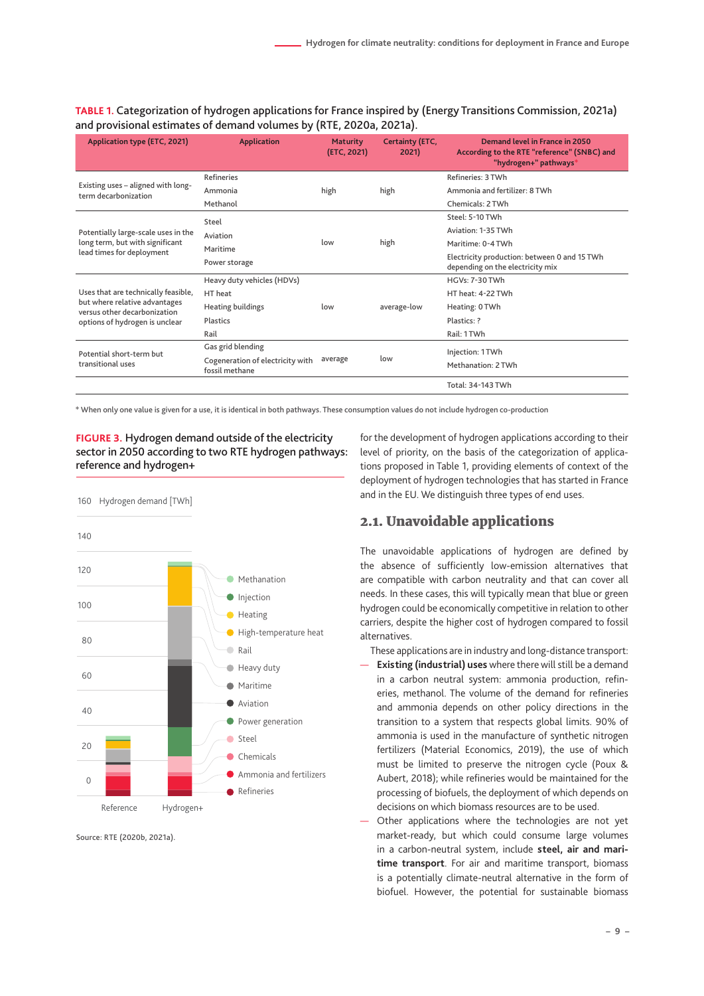<span id="page-8-0"></span>**TABLE 1.** Categorization of hydrogen applications for France inspired by (Energy Transitions Commission, 2021a) and provisional estimates of demand volumes by (RTE, 2020a, 2021a).

| Application type (ETC, 2021)                                  | <b>Application</b>                                 | <b>Maturity</b><br>(ETC, 2021) | Certainty (ETC,<br>2021) | Demand level in France in 2050<br>According to the RTE "reference" (SNBC) and<br>"hydrogen+" pathways* |
|---------------------------------------------------------------|----------------------------------------------------|--------------------------------|--------------------------|--------------------------------------------------------------------------------------------------------|
|                                                               | <b>Refineries</b>                                  | high                           | high                     | Refineries: 3 TWh                                                                                      |
| Existing uses - aligned with long-<br>term decarbonization    | Ammonia                                            |                                |                          | Ammonia and fertilizer: 8 TWh                                                                          |
|                                                               | Methanol                                           |                                |                          | Chemicals: 2 TWh                                                                                       |
|                                                               | Steel                                              | low                            | high                     | Steel: 5-10 TWh                                                                                        |
| Potentially large-scale uses in the                           | Aviation                                           |                                |                          | Aviation: 1-35 TWh                                                                                     |
| long term, but with significant                               | Maritime                                           |                                |                          | Maritime: 0-4 TWh                                                                                      |
| lead times for deployment                                     | Power storage                                      |                                |                          | Electricity production: between 0 and 15 TWh<br>depending on the electricity mix                       |
|                                                               | Heavy duty vehicles (HDVs)                         | low                            | average-low              | $HGVs: 7-30$ TWh                                                                                       |
| Uses that are technically feasible,                           | HT heat                                            |                                |                          | HT heat: 4-22 TWh                                                                                      |
| but where relative advantages<br>versus other decarbonization | Heating buildings                                  |                                |                          | Heating: 0 TWh                                                                                         |
| options of hydrogen is unclear                                | Plastics                                           |                                |                          | Plastics: ?                                                                                            |
|                                                               | Rail                                               |                                |                          | Rail: 1 TWh                                                                                            |
| Potential short-term but                                      | Gas grid blending                                  | average                        | low                      | Injection: 1 TWh                                                                                       |
| transitional uses                                             | Cogeneration of electricity with<br>fossil methane |                                |                          | Methanation: 2 TWh                                                                                     |
|                                                               |                                                    |                                |                          | Total: 34-143 TWh                                                                                      |

\* When only one value is given for a use, it is identical in both pathways. These consumption values do not include hydrogen co-production



Source: RTE (2020b, 2021a).

for the development of hydrogen applications according to their level of priority, on the basis of the categorization of applications proposed in Table 1, providing elements of context of the deployment of hydrogen technologies that has started in France and in the EU. We distinguish three types of end uses.

# 2.1. Unavoidable applications

The unavoidable applications of hydrogen are defined by the absence of sufficiently low-emission alternatives that are compatible with carbon neutrality and that can cover all needs. In these cases, this will typically mean that blue or green hydrogen could be economically competitive in relation to other carriers, despite the higher cost of hydrogen compared to fossil alternatives.

These applications are in industry and long-distance transport:

- **Existing (industrial) uses** where there will still be a demand in a carbon neutral system: ammonia production, refineries, methanol. The volume of the demand for refineries and ammonia depends on other policy directions in the transition to a system that respects global limits. 90% of ammonia is used in the manufacture of synthetic nitrogen fertilizers (Material Economics, 2019), the use of which must be limited to preserve the nitrogen cycle (Poux & Aubert, 2018); while refineries would be maintained for the processing of biofuels, the deployment of which depends on decisions on which biomass resources are to be used.
- Other applications where the technologies are not yet market-ready, but which could consume large volumes in a carbon-neutral system, include **steel, air and maritime transport**. For air and maritime transport, biomass is a potentially climate-neutral alternative in the form of biofuel. However, the potential for sustainable biomass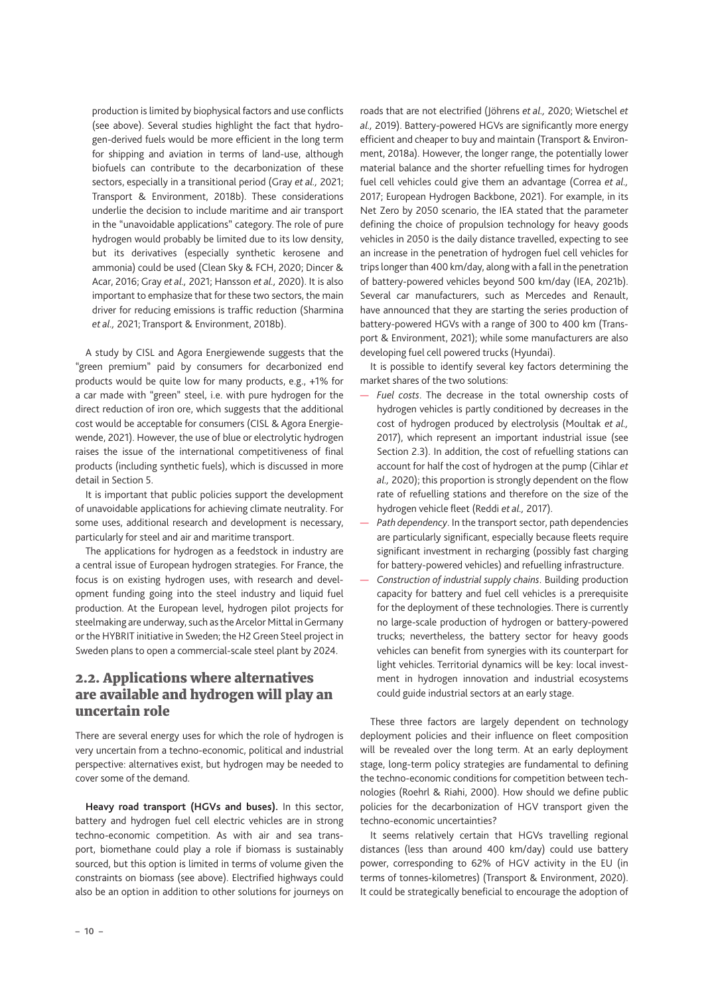<span id="page-9-0"></span>production is limited by biophysical factors and use conflicts (see above). Several studies highlight the fact that hydrogen-derived fuels would be more efficient in the long term for shipping and aviation in terms of land-use, although biofuels can contribute to the decarbonization of these sectors, especially in a transitional period (Gray *et al.,* 2021; Transport & Environment, 2018b). These considerations underlie the decision to include maritime and air transport in the "unavoidable applications" category. The role of pure hydrogen would probably be limited due to its low density, but its derivatives (especially synthetic kerosene and ammonia) could be used (Clean Sky & FCH, 2020; Dincer & Acar, 2016; Gray *et al.,* 2021; Hansson *et al.,* 2020). It is also important to emphasize that for these two sectors, the main driver for reducing emissions is traffic reduction (Sharmina *et al.,* 2021; Transport & Environment, 2018b).

A study by CISL and Agora Energiewende suggests that the "green premium" paid by consumers for decarbonized end products would be quite low for many products, e.g., +1% for a car made with "green" steel, i.e. with pure hydrogen for the direct reduction of iron ore, which suggests that the additional cost would be acceptable for consumers (CISL & Agora Energiewende, 2021). However, the use of blue or electrolytic hydrogen raises the issue of the international competitiveness of final products (including synthetic fuels), which is discussed in more detail in Section 5.

It is important that public policies support the development of unavoidable applications for achieving climate neutrality. For some uses, additional research and development is necessary, particularly for steel and air and maritime transport.

The applications for hydrogen as a feedstock in industry are a central issue of European hydrogen strategies. For France, the focus is on existing hydrogen uses, with research and development funding going into the steel industry and liquid fuel production. At the European level, hydrogen pilot projects for steelmaking are underway, such as the Arcelor Mittal in Germany or the HYBRIT initiative in Sweden; the H2 Green Steel project in Sweden plans to open a commercial-scale steel plant by 2024.

# 2.2. Applications where alternatives are available and hydrogen will play an uncertain role

There are several energy uses for which the role of hydrogen is very uncertain from a techno-economic, political and industrial perspective: alternatives exist, but hydrogen may be needed to cover some of the demand.

**Heavy road transport (HGVs and buses).** In this sector, battery and hydrogen fuel cell electric vehicles are in strong techno-economic competition. As with air and sea transport, biomethane could play a role if biomass is sustainably sourced, but this option is limited in terms of volume given the constraints on biomass (see above). Electrified highways could also be an option in addition to other solutions for journeys on roads that are not electrified (Jöhrens *et al.,* 2020; Wietschel *et al.,* 2019). Battery-powered HGVs are significantly more energy efficient and cheaper to buy and maintain (Transport & Environment, 2018a). However, the longer range, the potentially lower material balance and the shorter refuelling times for hydrogen fuel cell vehicles could give them an advantage (Correa *et al.,* 2017; European Hydrogen Backbone, 2021). For example, in its Net Zero by 2050 scenario, the IEA stated that the parameter defining the choice of propulsion technology for heavy goods vehicles in 2050 is the daily distance travelled, expecting to see an increase in the penetration of hydrogen fuel cell vehicles for trips longer than 400 km/day, along with a fall in the penetration of battery-powered vehicles beyond 500 km/day (IEA, 2021b). Several car manufacturers, such as Mercedes and Renault, have announced that they are starting the series production of battery-powered HGVs with a range of 300 to 400 km (Transport & Environment, 2021); while some manufacturers are also developing fuel cell powered trucks ([Hyundai\)](https://trucknbus.hyundai.com/global/en/products/truck/xcient).

It is possible to identify several key factors determining the market shares of the two solutions:

- *Fuel costs*. The decrease in the total ownership costs of hydrogen vehicles is partly conditioned by decreases in the cost of hydrogen produced by electrolysis (Moultak *et al.,* 2017), which represent an important industrial issue (see Section 2.3). In addition, the cost of refuelling stations can account for half the cost of hydrogen at the pump (Cihlar *et al.,* 2020); this proportion is strongly dependent on the flow rate of refuelling stations and therefore on the size of the hydrogen vehicle fleet (Reddi *et al.,* 2017).
- *Path dependency*. In the transport sector, path dependencies are particularly significant, especially because fleets require significant investment in recharging (possibly fast charging for battery-powered vehicles) and refuelling infrastructure.
- *Construction of industrial supply chains*. Building production capacity for battery and fuel cell vehicles is a prerequisite for the deployment of these technologies. There is currently no large-scale production of hydrogen or battery-powered trucks; nevertheless, the battery sector for heavy goods vehicles can benefit from synergies with its counterpart for light vehicles. Territorial dynamics will be key: local investment in hydrogen innovation and industrial ecosystems could guide industrial sectors at an early stage.

These three factors are largely dependent on technology deployment policies and their influence on fleet composition will be revealed over the long term. At an early deployment stage, long-term policy strategies are fundamental to defining the techno-economic conditions for competition between technologies (Roehrl & Riahi, 2000). How should we define public policies for the decarbonization of HGV transport given the techno-economic uncertainties?

It seems relatively certain that HGVs travelling regional distances (less than around 400 km/day) could use battery power, corresponding to 62% of HGV activity in the EU (in terms of tonnes-kilometres) (Transport & Environment, 2020). It could be strategically beneficial to encourage the adoption of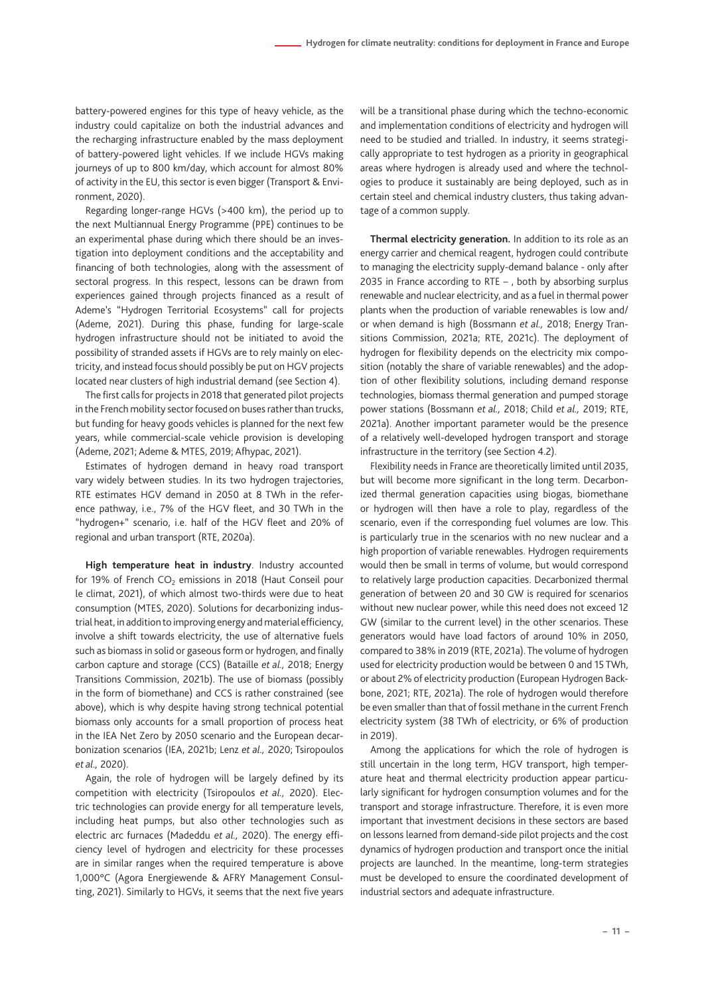battery-powered engines for this type of heavy vehicle, as the industry could capitalize on both the industrial advances and the recharging infrastructure enabled by the mass deployment of battery-powered light vehicles. If we include HGVs making journeys of up to 800 km/day, which account for almost 80% of activity in the EU, this sector is even bigger (Transport & Environment, 2020).

Regarding longer-range HGVs (>400 km), the period up to the next Multiannual Energy Programme (PPE) continues to be an experimental phase during which there should be an investigation into deployment conditions and the acceptability and financing of both technologies, along with the assessment of sectoral progress. In this respect, lessons can be drawn from experiences gained through projects financed as a result of Ademe's "Hydrogen Territorial Ecosystems" call for projects (Ademe, 2021). During this phase, funding for large-scale hydrogen infrastructure should not be initiated to avoid the possibility of stranded assets if HGVs are to rely mainly on electricity, and instead focus should possibly be put on HGV projects located near clusters of high industrial demand (see Section 4).

The first calls for projects in 2018 that generated pilot projects in the French mobility sector focused on buses rather than trucks, but funding for heavy goods vehicles is planned for the next few years, while commercial-scale vehicle provision is developing (Ademe, 2021; Ademe & MTES, 2019; Afhypac, 2021).

Estimates of hydrogen demand in heavy road transport vary widely between studies. In its two hydrogen trajectories, RTE estimates HGV demand in 2050 at 8 TWh in the reference pathway, i.e., 7% of the HGV fleet, and 30 TWh in the "hydrogen+" scenario, i.e. half of the HGV fleet and 20% of regional and urban transport (RTE, 2020a).

**High temperature heat in industry**. Industry accounted for 19% of French  $CO<sub>2</sub>$  emissions in 2018 (Haut Conseil pour le climat, 2021), of which almost two-thirds were due to heat consumption (MTES, 2020). Solutions for decarbonizing industrial heat, in addition to improving energy and material efficiency, involve a shift towards electricity, the use of alternative fuels such as biomass in solid or gaseous form or hydrogen, and finally carbon capture and storage (CCS) (Bataille *et al.,* 2018; Energy Transitions Commission, 2021b). The use of biomass (possibly in the form of biomethane) and CCS is rather constrained (see above), which is why despite having strong technical potential biomass only accounts for a small proportion of process heat in the IEA Net Zero by 2050 scenario and the European decarbonization scenarios (IEA, 2021b; Lenz *et al.,* 2020; Tsiropoulos *et al.,* 2020).

Again, the role of hydrogen will be largely defined by its competition with electricity (Tsiropoulos *et al.,* 2020). Electric technologies can provide energy for all temperature levels, including heat pumps, but also other technologies such as electric arc furnaces (Madeddu *et al.,* 2020). The energy efficiency level of hydrogen and electricity for these processes are in similar ranges when the required temperature is above 1,000°C (Agora Energiewende & AFRY Management Consulting, 2021). Similarly to HGVs, it seems that the next five years will be a transitional phase during which the techno-economic and implementation conditions of electricity and hydrogen will need to be studied and trialled. In industry, it seems strategically appropriate to test hydrogen as a priority in geographical areas where hydrogen is already used and where the technologies to produce it sustainably are being deployed, such as in certain steel and chemical industry clusters, thus taking advantage of a common supply.

**Thermal electricity generation.** In addition to its role as an energy carrier and chemical reagent, hydrogen could contribute to managing the electricity supply-demand balance - only after 2035 in France according to RTE – , both by absorbing surplus renewable and nuclear electricity, and as a fuel in thermal power plants when the production of variable renewables is low and/ or when demand is high (Bossmann *et al.,* 2018; Energy Transitions Commission, 2021a; RTE, 2021c). The deployment of hydrogen for flexibility depends on the electricity mix composition (notably the share of variable renewables) and the adoption of other flexibility solutions, including demand response technologies, biomass thermal generation and pumped storage power stations (Bossmann *et al.,* 2018; Child *et al.,* 2019; RTE, 2021a). Another important parameter would be the presence of a relatively well-developed hydrogen transport and storage infrastructure in the territory (see Section 4.2).

Flexibility needs in France are theoretically limited until 2035, but will become more significant in the long term. Decarbonized thermal generation capacities using biogas, biomethane or hydrogen will then have a role to play, regardless of the scenario, even if the corresponding fuel volumes are low. This is particularly true in the scenarios with no new nuclear and a high proportion of variable renewables. Hydrogen requirements would then be small in terms of volume, but would correspond to relatively large production capacities. Decarbonized thermal generation of between 20 and 30 GW is required for scenarios without new nuclear power, while this need does not exceed 12 GW (similar to the current level) in the other scenarios. These generators would have load factors of around 10% in 2050, compared to 38% in 2019 (RTE, 2021a). The volume of hydrogen used for electricity production would be between 0 and 15 TWh, or about 2% of electricity production (European Hydrogen Backbone, 2021; RTE, 2021a). The role of hydrogen would therefore be even smaller than that of fossil methane in the current French electricity system (38 TWh of electricity, or 6% of production in 2019).

Among the applications for which the role of hydrogen is still uncertain in the long term, HGV transport, high temperature heat and thermal electricity production appear particularly significant for hydrogen consumption volumes and for the transport and storage infrastructure. Therefore, it is even more important that investment decisions in these sectors are based on lessons learned from demand-side pilot projects and the cost dynamics of hydrogen production and transport once the initial projects are launched. In the meantime, long-term strategies must be developed to ensure the coordinated development of industrial sectors and adequate infrastructure.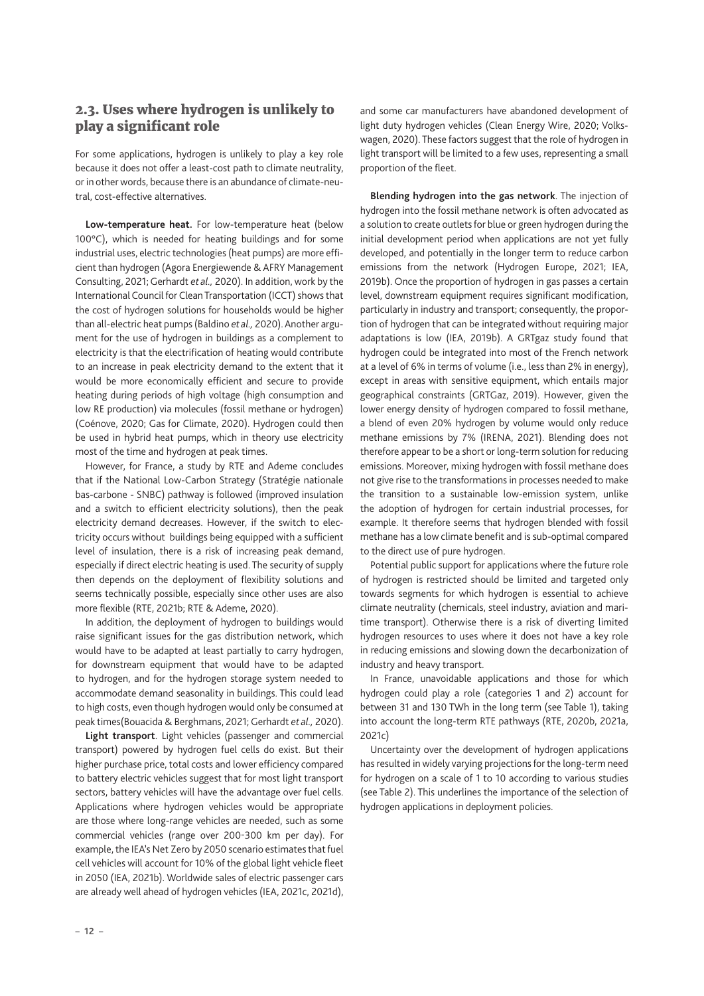# <span id="page-11-0"></span>2.3. Uses where hydrogen is unlikely to play a significant role

For some applications, hydrogen is unlikely to play a key role because it does not offer a least-cost path to climate neutrality, or in other words, because there is an abundance of climate-neutral, cost-effective alternatives.

**Low-temperature heat.** For low-temperature heat (below 100°C), which is needed for heating buildings and for some industrial uses, electric technologies (heat pumps) are more efficient than hydrogen (Agora Energiewende & AFRY Management Consulting, 2021; Gerhardt *et al.,* 2020). In addition, work by the International Council for Clean Transportation (ICCT) shows that the cost of hydrogen solutions for households would be higher than all-electric heat pumps (Baldino *et al.,* 2020). Another argument for the use of hydrogen in buildings as a complement to electricity is that the electrification of heating would contribute to an increase in peak electricity demand to the extent that it would be more economically efficient and secure to provide heating during periods of high voltage (high consumption and low RE production) via molecules (fossil methane or hydrogen) (Coénove, 2020; Gas for Climate, 2020). Hydrogen could then be used in hybrid heat pumps, which in theory use electricity most of the time and hydrogen at peak times.

However, for France, a study by RTE and Ademe concludes that if the National Low-Carbon Strategy (Stratégie nationale bas-carbone - SNBC) pathway is followed (improved insulation and a switch to efficient electricity solutions), then the peak electricity demand decreases. However, if the switch to electricity occurs without buildings being equipped with a sufficient level of insulation, there is a risk of increasing peak demand, especially if direct electric heating is used. The security of supply then depends on the deployment of flexibility solutions and seems technically possible, especially since other uses are also more flexible (RTE, 2021b; RTE & Ademe, 2020).

In addition, the deployment of hydrogen to buildings would raise significant issues for the gas distribution network, which would have to be adapted at least partially to carry hydrogen, for downstream equipment that would have to be adapted to hydrogen, and for the hydrogen storage system needed to accommodate demand seasonality in buildings. This could lead to high costs, even though hydrogen would only be consumed at peak times(Bouacida & Berghmans, 2021; Gerhardt *et al.,* 2020).

**Light transport**. Light vehicles (passenger and commercial transport) powered by hydrogen fuel cells do exist. But their higher purchase price, total costs and lower efficiency compared to battery electric vehicles suggest that for most light transport sectors, battery vehicles will have the advantage over fuel cells. Applications where hydrogen vehicles would be appropriate are those where long-range vehicles are needed, such as some commercial vehicles (range over 200-300 km per day). For example, the IEA's Net Zero by 2050 scenario estimates that fuel cell vehicles will account for 10% of the global light vehicle fleet in 2050 (IEA, 2021b). Worldwide sales of electric passenger cars are already well ahead of hydrogen vehicles (IEA, 2021c, 2021d), and some car manufacturers have abandoned development of light duty hydrogen vehicles (Clean Energy Wire, 2020; Volkswagen, 2020). These factors suggest that the role of hydrogen in light transport will be limited to a few uses, representing a small proportion of the fleet.

**Blending hydrogen into the gas network**. The injection of hydrogen into the fossil methane network is often advocated as a solution to create outlets for blue or green hydrogen during the initial development period when applications are not yet fully developed, and potentially in the longer term to reduce carbon emissions from the network (Hydrogen Europe, 2021; IEA, 2019b). Once the proportion of hydrogen in gas passes a certain level, downstream equipment requires significant modification, particularly in industry and transport; consequently, the proportion of hydrogen that can be integrated without requiring major adaptations is low (IEA, 2019b). A GRTgaz study found that hydrogen could be integrated into most of the French network at a level of 6% in terms of volume (i.e., less than 2% in energy), except in areas with sensitive equipment, which entails major geographical constraints (GRTGaz, 2019). However, given the lower energy density of hydrogen compared to fossil methane, a blend of even 20% hydrogen by volume would only reduce methane emissions by 7% (IRENA, 2021). Blending does not therefore appear to be a short or long-term solution for reducing emissions. Moreover, mixing hydrogen with fossil methane does not give rise to the transformations in processes needed to make the transition to a sustainable low-emission system, unlike the adoption of hydrogen for certain industrial processes, for example. It therefore seems that hydrogen blended with fossil methane has a low climate benefit and is sub-optimal compared to the direct use of pure hydrogen.

Potential public support for applications where the future role of hydrogen is restricted should be limited and targeted only towards segments for which hydrogen is essential to achieve climate neutrality (chemicals, steel industry, aviation and maritime transport). Otherwise there is a risk of diverting limited hydrogen resources to uses where it does not have a key role in reducing emissions and slowing down the decarbonization of industry and heavy transport.

In France, unavoidable applications and those for which hydrogen could play a role (categories 1 and 2) account for between 31 and 130 TWh in the long term (see Table 1), taking into account the long-term RTE pathways (RTE, 2020b, 2021a, 2021c)

Uncertainty over the development of hydrogen applications has resulted in widely varying projections for the long-term need for hydrogen on a scale of 1 to 10 according to various studies (see Table 2). This underlines the importance of the selection of hydrogen applications in deployment policies.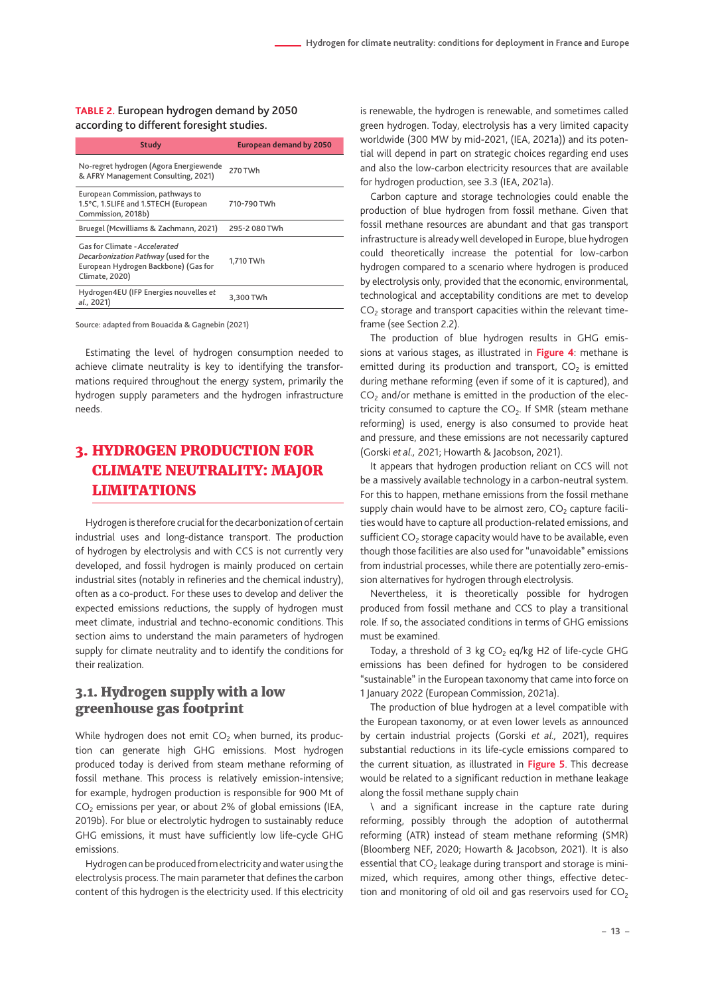<span id="page-12-0"></span>**TABLE 2.** European hydrogen demand by 2050 according to different foresight studies.

| Study                                                                                                                            | <b>European demand by 2050</b> |
|----------------------------------------------------------------------------------------------------------------------------------|--------------------------------|
| No-regret hydrogen (Agora Energiewende<br>& AFRY Management Consulting, 2021)                                                    | 270 TWh                        |
| European Commission, pathways to<br>1.5°C, 1.5LIFE and 1.5TECH (European<br>Commission, 2018b)                                   | 710-790 TWh                    |
| Bruegel (Mcwilliams & Zachmann, 2021)                                                                                            | 295-2 080 TWh                  |
| Gas for Climate - Accelerated<br>Decarbonization Pathway (used for the<br>European Hydrogen Backbone) (Gas for<br>Climate, 2020) | 1.710 TWh                      |
| Hydrogen4EU (IFP Energies nouvelles et<br>al., 2021)                                                                             | 3.300 TWh                      |

Source: adapted from Bouacida & Gagnebin (2021)

Estimating the level of hydrogen consumption needed to achieve climate neutrality is key to identifying the transformations required throughout the energy system, primarily the hydrogen supply parameters and the hydrogen infrastructure needs.

# 3. HYDROGEN PRODUCTION FOR CLIMATE NEUTRALITY: MAJOR **LIMITATIONS**

Hydrogen is therefore crucial for the decarbonization of certain industrial uses and long-distance transport. The production of hydrogen by electrolysis and with CCS is not currently very developed, and fossil hydrogen is mainly produced on certain industrial sites (notably in refineries and the chemical industry), often as a co-product. For these uses to develop and deliver the expected emissions reductions, the supply of hydrogen must meet climate, industrial and techno-economic conditions. This section aims to understand the main parameters of hydrogen supply for climate neutrality and to identify the conditions for their realization.

# 3.1. Hydrogen supply with a low greenhouse gas footprint

While hydrogen does not emit  $CO<sub>2</sub>$  when burned, its production can generate high GHG emissions. Most hydrogen produced today is derived from steam methane reforming of fossil methane. This process is relatively emission-intensive; for example, hydrogen production is responsible for 900 Mt of  $CO<sub>2</sub>$  emissions per year, or about 2% of global emissions (IEA, 2019b). For blue or electrolytic hydrogen to sustainably reduce GHG emissions, it must have sufficiently low life-cycle GHG emissions.

Hydrogen can be produced from electricity and water using the electrolysis process. The main parameter that defines the carbon content of this hydrogen is the electricity used. If this electricity is renewable, the hydrogen is renewable, and sometimes called green hydrogen. Today, electrolysis has a very limited capacity worldwide (300 MW by mid-2021, (IEA, 2021a)) and its potential will depend in part on strategic choices regarding end uses and also the low-carbon electricity resources that are available for hydrogen production, see 3.3 (IEA, 2021a).

Carbon capture and storage technologies could enable the production of blue hydrogen from fossil methane. Given that fossil methane resources are abundant and that gas transport infrastructure is already well developed in Europe, blue hydrogen could theoretically increase the potential for low-carbon hydrogen compared to a scenario where hydrogen is produced by electrolysis only, provided that the economic, environmental, technological and acceptability conditions are met to develop  $CO<sub>2</sub>$  storage and transport capacities within the relevant timeframe (see Section 2.2).

The production of blue hydrogen results in GHG emissions at various stages, as illustrated in **Figure 4**: methane is emitted during its production and transport,  $CO<sub>2</sub>$  is emitted during methane reforming (even if some of it is captured), and  $CO<sub>2</sub>$  and/or methane is emitted in the production of the electricity consumed to capture the  $CO<sub>2</sub>$ . If SMR (steam methane reforming) is used, energy is also consumed to provide heat and pressure, and these emissions are not necessarily captured (Gorski *et al.,* 2021; Howarth & Jacobson, 2021).

It appears that hydrogen production reliant on CCS will not be a massively available technology in a carbon-neutral system. For this to happen, methane emissions from the fossil methane supply chain would have to be almost zero,  $CO<sub>2</sub>$  capture facilities would have to capture all production-related emissions, and sufficient  $CO<sub>2</sub>$  storage capacity would have to be available, even though those facilities are also used for "unavoidable" emissions from industrial processes, while there are potentially zero-emission alternatives for hydrogen through electrolysis.

Nevertheless, it is theoretically possible for hydrogen produced from fossil methane and CCS to play a transitional role. If so, the associated conditions in terms of GHG emissions must be examined.

Today, a threshold of 3 kg  $CO<sub>2</sub>$  eq/kg H2 of life-cycle GHG emissions has been defined for hydrogen to be considered "sustainable" in the European taxonomy that came into force on 1 January 2022 (European Commission, 2021a).

The production of blue hydrogen at a level compatible with the European taxonomy, or at even lower levels as announced by certain industrial projects (Gorski *et al.,* 2021), requires substantial reductions in its life-cycle emissions compared to the current situation, as illustrated in **Figure 5**. This decrease would be related to a significant reduction in methane leakage along the fossil methane supply chain

\ and a significant increase in the capture rate during reforming, possibly through the adoption of autothermal reforming (ATR) instead of steam methane reforming (SMR) (Bloomberg NEF, 2020; Howarth & Jacobson, 2021). It is also essential that  $CO<sub>2</sub>$  leakage during transport and storage is minimized, which requires, among other things, effective detection and monitoring of old oil and gas reservoirs used for  $CO<sub>2</sub>$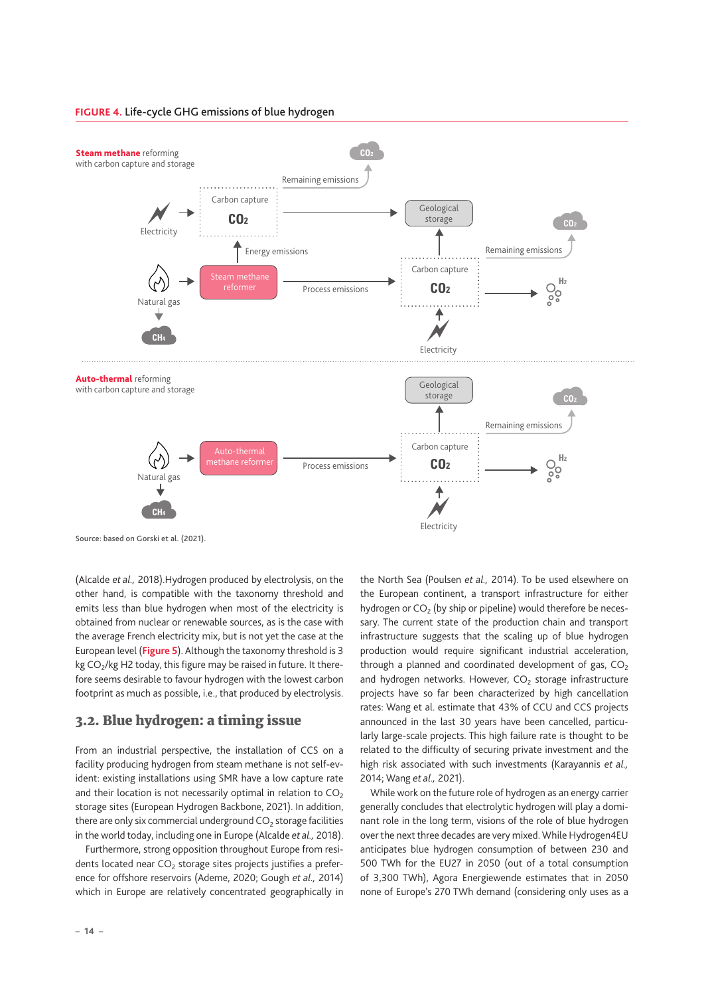

<span id="page-13-0"></span>**FIGURE 4.** Life-cycle GHG emissions of blue hydrogen



Source: based on Gorski et al. (2021).

(Alcalde *et al.,* 2018).Hydrogen produced by electrolysis, on the other hand, is compatible with the taxonomy threshold and emits less than blue hydrogen when most of the electricity is obtained from nuclear or renewable sources, as is the case with the average French electricity mix, but is not yet the case at the European level (**Figure 5**). Although the taxonomy threshold is 3 kg CO<sub>2</sub>/kg H2 today, this figure may be raised in future. It therefore seems desirable to favour hydrogen with the lowest carbon footprint as much as possible, i.e., that produced by electrolysis.

### 3.2. Blue hydrogen: a timing issue

From an industrial perspective, the installation of CCS on a facility producing hydrogen from steam methane is not self-evident: existing installations using SMR have a low capture rate and their location is not necessarily optimal in relation to  $CO<sub>2</sub>$ storage sites (European Hydrogen Backbone, 2021). In addition, there are only six commercial underground  $CO<sub>2</sub>$  storage facilities in the world today, including one in Europe (Alcalde *et al.,* 2018).

Furthermore, strong opposition throughout Europe from residents located near  $CO<sub>2</sub>$  storage sites projects justifies a preference for offshore reservoirs (Ademe, 2020; Gough *et al.,* 2014) which in Europe are relatively concentrated geographically in the North Sea (Poulsen *et al.,* 2014). To be used elsewhere on the European continent, a transport infrastructure for either hydrogen or  $CO<sub>2</sub>$  (by ship or pipeline) would therefore be necessary. The current state of the production chain and transport infrastructure suggests that the scaling up of blue hydrogen production would require significant industrial acceleration, through a planned and coordinated development of gas,  $CO<sub>2</sub>$ and hydrogen networks. However,  $CO<sub>2</sub>$  storage infrastructure projects have so far been characterized by high cancellation rates: Wang et al. estimate that 43% of CCU and CCS projects announced in the last 30 years have been cancelled, particularly large-scale projects. This high failure rate is thought to be related to the difficulty of securing private investment and the high risk associated with such investments (Karayannis *et al.,* 2014; Wang *et al.,* 2021).

While work on the future role of hydrogen as an energy carrier generally concludes that electrolytic hydrogen will play a dominant role in the long term, visions of the role of blue hydrogen over the next three decades are very mixed. While Hydrogen4EU anticipates blue hydrogen consumption of between 230 and 500 TWh for the EU27 in 2050 (out of a total consumption of 3,300 TWh), Agora Energiewende estimates that in 2050 none of Europe's 270 TWh demand (considering only uses as a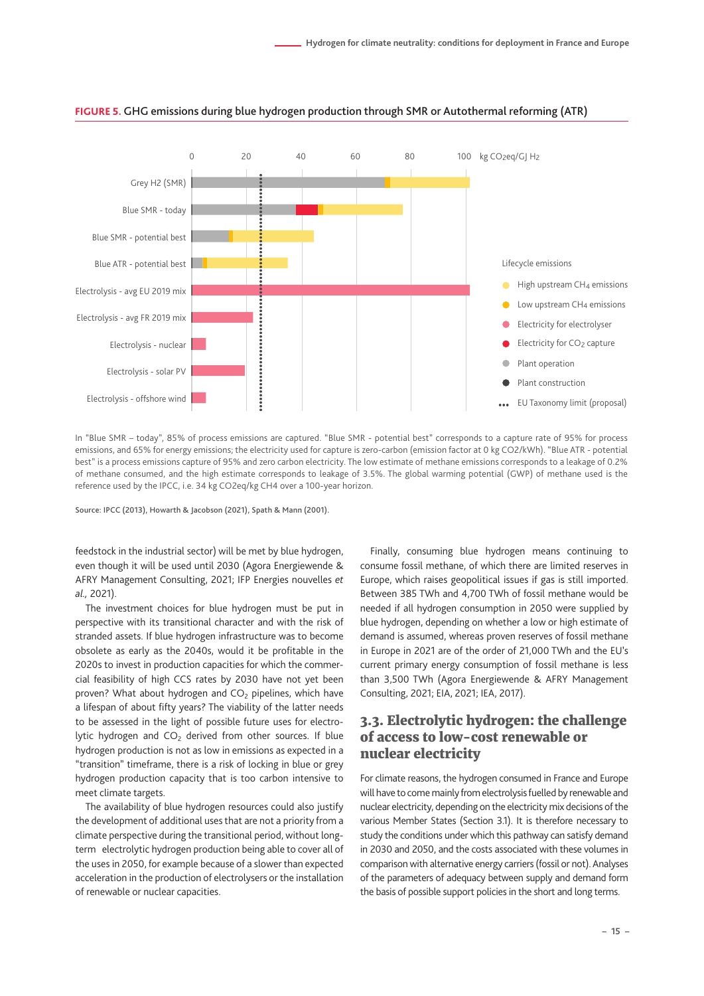

#### <span id="page-14-0"></span>**FIGURE 5.** GHG emissions during blue hydrogen production through SMR or Autothermal reforming (ATR)

In "Blue SMR – today", 85% of process emissions are captured. "Blue SMR - potential best" corresponds to a capture rate of 95% for process emissions, and 65% for energy emissions; the electricity used for capture is zero-carbon (emission factor at 0 kg CO2/kWh). "Blue ATR - potential best" is a process emissions capture of 95% and zero carbon electricity. The low estimate of methane emissions corresponds to a leakage of 0.2% of methane consumed, and the high estimate corresponds to leakage of 3.5%. The global warming potential (GWP) of methane used is the reference used by the IPCC, i.e. 34 kg CO2eq/kg CH4 over a 100-year horizon.

Source: IPCC (2013), Howarth & Jacobson (2021), Spath & Mann (2001).

feedstock in the industrial sector) will be met by blue hydrogen, even though it will be used until 2030 (Agora Energiewende & AFRY Management Consulting, 2021; IFP Energies nouvelles *et al.,* 2021).

The investment choices for blue hydrogen must be put in perspective with its transitional character and with the risk of stranded assets. If blue hydrogen infrastructure was to become obsolete as early as the 2040s, would it be profitable in the 2020s to invest in production capacities for which the commercial feasibility of high CCS rates by 2030 have not yet been proven? What about hydrogen and  $CO<sub>2</sub>$  pipelines, which have a lifespan of about fifty years? The viability of the latter needs to be assessed in the light of possible future uses for electrolytic hydrogen and  $CO<sub>2</sub>$  derived from other sources. If blue hydrogen production is not as low in emissions as expected in a "transition" timeframe, there is a risk of locking in blue or grey hydrogen production capacity that is too carbon intensive to meet climate targets.

The availability of blue hydrogen resources could also justify the development of additional uses that are not a priority from a climate perspective during the transitional period, without longterm electrolytic hydrogen production being able to cover all of the uses in 2050, for example because of a slower than expected acceleration in the production of electrolysers or the installation of renewable or nuclear capacities.

Finally, consuming blue hydrogen means continuing to consume fossil methane, of which there are limited reserves in Europe, which raises geopolitical issues if gas is still imported. Between 385 TWh and 4,700 TWh of fossil methane would be needed if all hydrogen consumption in 2050 were supplied by blue hydrogen, depending on whether a low or high estimate of demand is assumed, whereas proven reserves of fossil methane in Europe in 2021 are of the order of 21,000 TWh and the EU's current primary energy consumption of fossil methane is less than 3,500 TWh (Agora Energiewende & AFRY Management Consulting, 2021; EIA, 2021; IEA, 2017).

# 3.3. Electrolytic hydrogen: the challenge of access to low-cost renewable or nuclear electricity

For climate reasons, the hydrogen consumed in France and Europe will have to come mainly from electrolysis fuelled by renewable and nuclear electricity, depending on the electricity mix decisions of the various Member States (Section 3.1). It is therefore necessary to study the conditions under which this pathway can satisfy demand in 2030 and 2050, and the costs associated with these volumes in comparison with alternative energy carriers (fossil or not). Analyses of the parameters of adequacy between supply and demand form the basis of possible support policies in the short and long terms.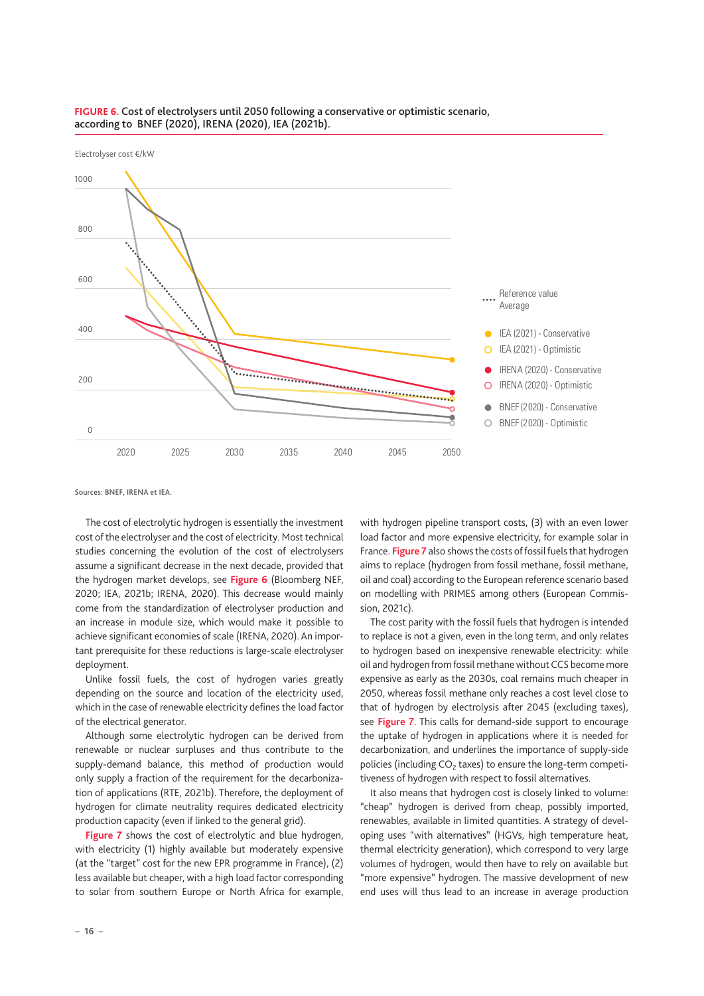

#### **FIGURE 6.** Cost of electrolysers until 2050 following a conservative or optimistic scenario, according to BNEF (2020), IRENA (2020), IEA (2021b).

Sources: BNEF, IRENA et IEA.

The cost of electrolytic hydrogen is essentially the investment cost of the electrolyser and the cost of electricity. Most technical studies concerning the evolution of the cost of electrolysers assume a significant decrease in the next decade, provided that the hydrogen market develops, see **Figure 6** (Bloomberg NEF, 2020; IEA, 2021b; IRENA, 2020). This decrease would mainly come from the standardization of electrolyser production and an increase in module size, which would make it possible to achieve significant economies of scale (IRENA, 2020). An important prerequisite for these reductions is large-scale electrolyser deployment.

Unlike fossil fuels, the cost of hydrogen varies greatly depending on the source and location of the electricity used, which in the case of renewable electricity defines the load factor of the electrical generator.

Although some electrolytic hydrogen can be derived from renewable or nuclear surpluses and thus contribute to the supply-demand balance, this method of production would only supply a fraction of the requirement for the decarbonization of applications (RTE, 2021b). Therefore, the deployment of hydrogen for climate neutrality requires dedicated electricity production capacity (even if linked to the general grid).

**Figure 7** shows the cost of electrolytic and blue hydrogen, with electricity (1) highly available but moderately expensive (at the "target" cost for the new EPR programme in France), (2) less available but cheaper, with a high load factor corresponding to solar from southern Europe or North Africa for example, with hydrogen pipeline transport costs, (3) with an even lower load factor and more expensive electricity, for example solar in France. **Figure 7** also shows the costs of fossil fuels that hydrogen aims to replace (hydrogen from fossil methane, fossil methane, oil and coal) according to the European reference scenario based on modelling with PRIMES among others (European Commission, 2021c).

The cost parity with the fossil fuels that hydrogen is intended to replace is not a given, even in the long term, and only relates to hydrogen based on inexpensive renewable electricity: while oil and hydrogen from fossil methane without CCS become more expensive as early as the 2030s, coal remains much cheaper in 2050, whereas fossil methane only reaches a cost level close to that of hydrogen by electrolysis after 2045 (excluding taxes), see **Figure 7**. This calls for demand-side support to encourage the uptake of hydrogen in applications where it is needed for decarbonization, and underlines the importance of supply-side policies (including  $CO<sub>2</sub>$  taxes) to ensure the long-term competitiveness of hydrogen with respect to fossil alternatives.

It also means that hydrogen cost is closely linked to volume: "cheap" hydrogen is derived from cheap, possibly imported, renewables, available in limited quantities. A strategy of developing uses "with alternatives" (HGVs, high temperature heat, thermal electricity generation), which correspond to very large volumes of hydrogen, would then have to rely on available but "more expensive" hydrogen. The massive development of new end uses will thus lead to an increase in average production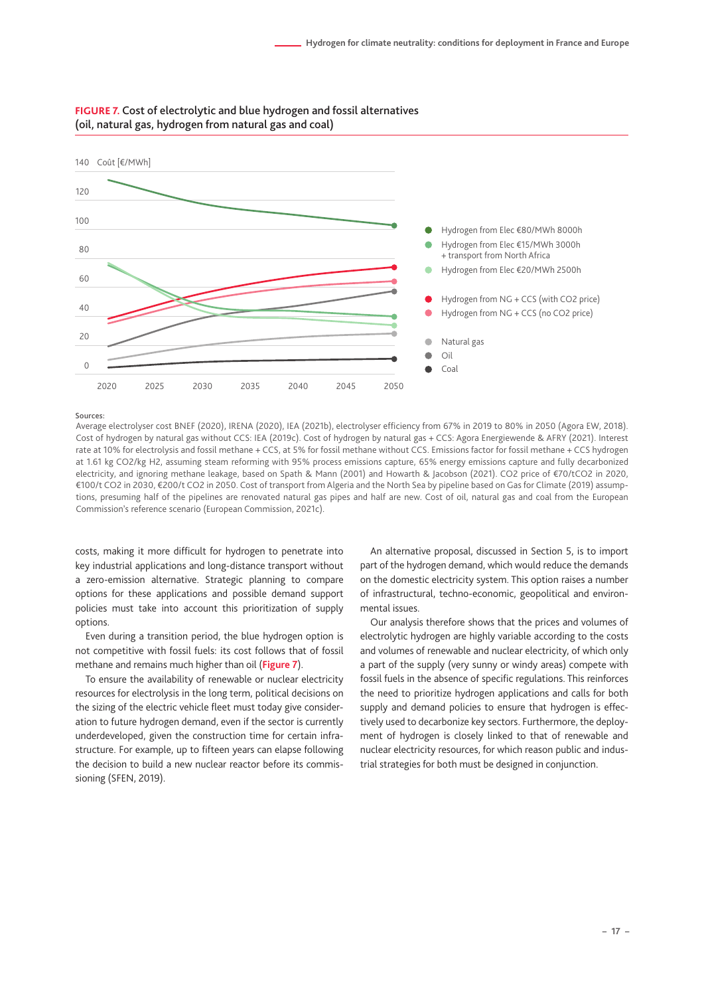

#### **FIGURE 7.** Cost of electrolytic and blue hydrogen and fossil alternatives (oil, natural gas, hydrogen from natural gas and coal)

Sources:

Average electrolyser cost BNEF (2020), IRENA (2020), IEA (2021b), electrolyser efficiency from 67% in 2019 to 80% in 2050 (Agora EW, 2018). Cost of hydrogen by natural gas without CCS: IEA (2019c). Cost of hydrogen by natural gas + CCS: Agora Energiewende & AFRY (2021). Interest rate at 10% for electrolysis and fossil methane + CCS, at 5% for fossil methane without CCS. Emissions factor for fossil methane + CCS hydrogen at 1.61 kg CO2/kg H2, assuming steam reforming with 95% process emissions capture, 65% energy emissions capture and fully decarbonized electricity, and ignoring methane leakage, based on Spath & Mann (2001) and Howarth & Jacobson (2021). CO2 price of €70/tCO2 in 2020, €100/t CO2 in 2030, €200/t CO2 in 2050. Cost of transport from Algeria and the North Sea by pipeline based on Gas for Climate (2019) assumptions, presuming half of the pipelines are renovated natural gas pipes and half are new. Cost of oil, natural gas and coal from the European Commission's reference scenario (European Commission, 2021c).

costs, making it more difficult for hydrogen to penetrate into key industrial applications and long-distance transport without a zero-emission alternative. Strategic planning to compare options for these applications and possible demand support policies must take into account this prioritization of supply options.

Even during a transition period, the blue hydrogen option is not competitive with fossil fuels: its cost follows that of fossil methane and remains much higher than oil (**Figure 7**).

To ensure the availability of renewable or nuclear electricity resources for electrolysis in the long term, political decisions on the sizing of the electric vehicle fleet must today give consideration to future hydrogen demand, even if the sector is currently underdeveloped, given the construction time for certain infrastructure. For example, up to fifteen years can elapse following the decision to build a new nuclear reactor before its commissioning (SFEN, 2019).

An alternative proposal, discussed in Section 5, is to import part of the hydrogen demand, which would reduce the demands on the domestic electricity system. This option raises a number of infrastructural, techno-economic, geopolitical and environmental issues.

Our analysis therefore shows that the prices and volumes of electrolytic hydrogen are highly variable according to the costs and volumes of renewable and nuclear electricity, of which only a part of the supply (very sunny or windy areas) compete with fossil fuels in the absence of specific regulations. This reinforces the need to prioritize hydrogen applications and calls for both supply and demand policies to ensure that hydrogen is effectively used to decarbonize key sectors. Furthermore, the deployment of hydrogen is closely linked to that of renewable and nuclear electricity resources, for which reason public and industrial strategies for both must be designed in conjunction.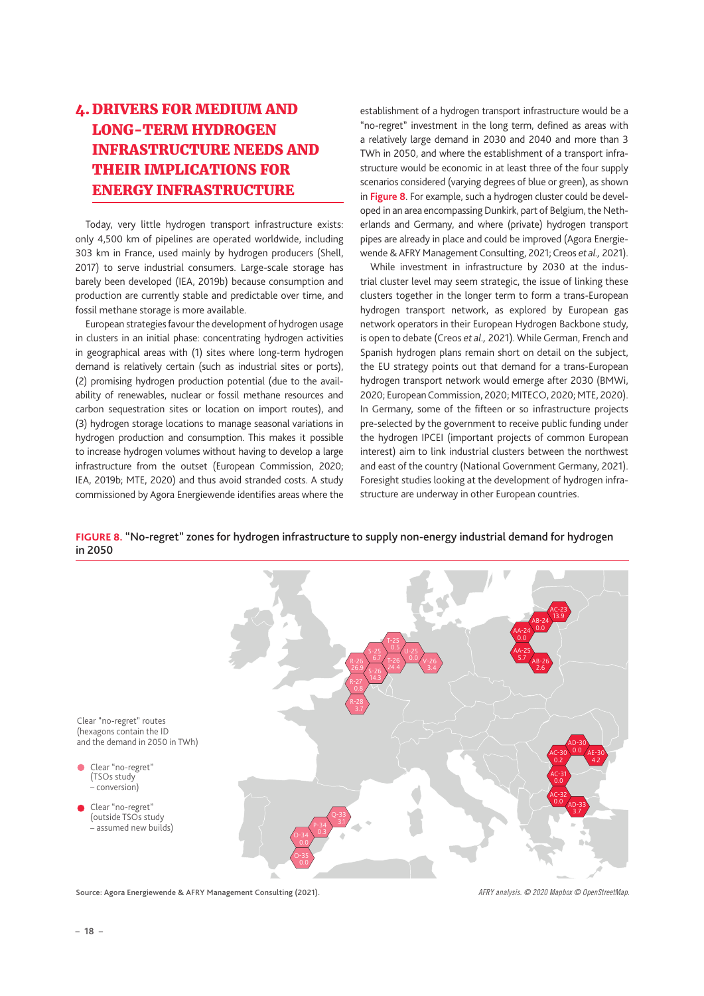# <span id="page-17-0"></span>4. DRIVERS FOR MEDIUM AND LONG-TERM HYDROGEN INFRASTRUCTURE NEEDS AND THEIR IMPLICATIONS FOR ENERGY INFRASTRUCTURE

Today, very little hydrogen transport infrastructure exists: only 4,500 km of pipelines are operated worldwide, including 303 km in France, used mainly by hydrogen producers (Shell, 2017) to serve industrial consumers. Large-scale storage has barely been developed (IEA, 2019b) because consumption and production are currently stable and predictable over time, and fossil methane storage is more available.

European strategies favour the development of hydrogen usage in clusters in an initial phase: concentrating hydrogen activities in geographical areas with (1) sites where long-term hydrogen demand is relatively certain (such as industrial sites or ports), (2) promising hydrogen production potential (due to the availability of renewables, nuclear or fossil methane resources and carbon sequestration sites or location on import routes), and (3) hydrogen storage locations to manage seasonal variations in hydrogen production and consumption. This makes it possible to increase hydrogen volumes without having to develop a large infrastructure from the outset (European Commission, 2020; IEA, 2019b; MTE, 2020) and thus avoid stranded costs. A study commissioned by Agora Energiewende identifies areas where the

establishment of a hydrogen transport infrastructure would be a "no-regret" investment in the long term, defined as areas with a relatively large demand in 2030 and 2040 and more than 3 TWh in 2050, and where the establishment of a transport infrastructure would be economic in at least three of the four supply scenarios considered (varying degrees of blue or green), as shown in **Figure 8**. For example, such a hydrogen cluster could be developed in an area encompassing Dunkirk, part of Belgium, the Netherlands and Germany, and where (private) hydrogen transport pipes are already in place and could be improved (Agora Energiewende & AFRY Management Consulting, 2021; Creos *et al.,* 2021).

While investment in infrastructure by 2030 at the industrial cluster level may seem strategic, the issue of linking these clusters together in the longer term to form a trans-European hydrogen transport network, as explored by European gas network operators in their European Hydrogen Backbone study, is open to debate (Creos *et al.,* 2021). While German, French and Spanish hydrogen plans remain short on detail on the subject, the EU strategy points out that demand for a trans-European hydrogen transport network would emerge after 2030 (BMWi, 2020; European Commission, 2020; MITECO, 2020; MTE, 2020). In Germany, some of the fifteen or so infrastructure projects pre-selected by the government to receive public funding under the hydrogen IPCEI (important projects of common European interest) aim to link industrial clusters between the northwest and east of the country (National Government Germany, 2021). Foresight studies looking at the development of hydrogen infrastructure are underway in other European countries.



**FIGURE 8.** "No-regret" zones for hydrogen infrastructure to supply non-energy industrial demand for hydrogen in 2050

Source: Agora Energiewende & AFRY Management Consulting (2021).

*AFRY analysis. © 2020 Mapbox © OpenStreetMap.*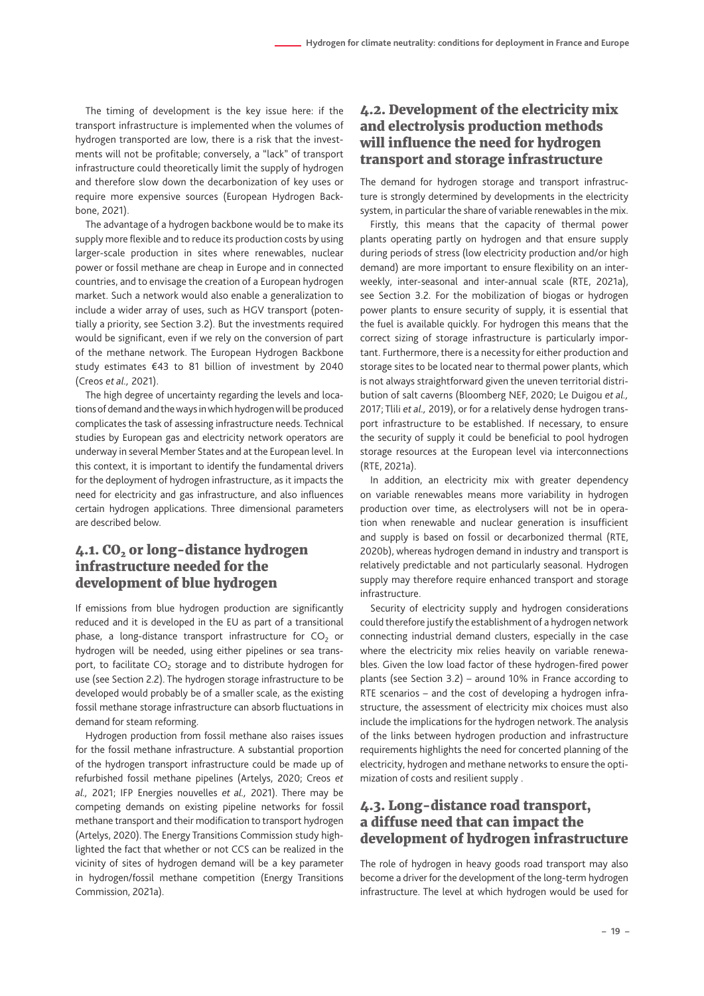<span id="page-18-0"></span>The timing of development is the key issue here: if the transport infrastructure is implemented when the volumes of hydrogen transported are low, there is a risk that the investments will not be profitable; conversely, a "lack" of transport infrastructure could theoretically limit the supply of hydrogen and therefore slow down the decarbonization of key uses or require more expensive sources (European Hydrogen Backbone, 2021).

The advantage of a hydrogen backbone would be to make its supply more flexible and to reduce its production costs by using larger-scale production in sites where renewables, nuclear power or fossil methane are cheap in Europe and in connected countries, and to envisage the creation of a European hydrogen market. Such a network would also enable a generalization to include a wider array of uses, such as HGV transport (potentially a priority, see Section 3.2). But the investments required would be significant, even if we rely on the conversion of part of the methane network. The European Hydrogen Backbone study estimates €43 to 81 billion of investment by 2040 (Creos *et al.,* 2021).

The high degree of uncertainty regarding the levels and locations of demand and the ways in which hydrogen will be produced complicates the task of assessing infrastructure needs. Technical studies by European gas and electricity network operators are underway in several Member States and at the European level. In this context, it is important to identify the fundamental drivers for the deployment of hydrogen infrastructure, as it impacts the need for electricity and gas infrastructure, and also influences certain hydrogen applications. Three dimensional parameters are described below.

# 4.1. CO<sub>2</sub> or long-distance hydrogen infrastructure needed for the development of blue hydrogen

If emissions from blue hydrogen production are significantly reduced and it is developed in the EU as part of a transitional phase, a long-distance transport infrastructure for  $CO<sub>2</sub>$  or hydrogen will be needed, using either pipelines or sea transport, to facilitate  $CO<sub>2</sub>$  storage and to distribute hydrogen for use (see Section 2.2). The hydrogen storage infrastructure to be developed would probably be of a smaller scale, as the existing fossil methane storage infrastructure can absorb fluctuations in demand for steam reforming.

Hydrogen production from fossil methane also raises issues for the fossil methane infrastructure. A substantial proportion of the hydrogen transport infrastructure could be made up of refurbished fossil methane pipelines (Artelys, 2020; Creos *et al.,* 2021; IFP Energies nouvelles *et al.,* 2021). There may be competing demands on existing pipeline networks for fossil methane transport and their modification to transport hydrogen (Artelys, 2020). The Energy Transitions Commission study highlighted the fact that whether or not CCS can be realized in the vicinity of sites of hydrogen demand will be a key parameter in hydrogen/fossil methane competition (Energy Transitions Commission, 2021a).

# 4.2. Development of the electricity mix and electrolysis production methods will influence the need for hydrogen transport and storage infrastructure

The demand for hydrogen storage and transport infrastructure is strongly determined by developments in the electricity system, in particular the share of variable renewables in the mix.

Firstly, this means that the capacity of thermal power plants operating partly on hydrogen and that ensure supply during periods of stress (low electricity production and/or high demand) are more important to ensure flexibility on an interweekly, inter-seasonal and inter-annual scale (RTE, 2021a), see Section 3.2. For the mobilization of biogas or hydrogen power plants to ensure security of supply, it is essential that the fuel is available quickly. For hydrogen this means that the correct sizing of storage infrastructure is particularly important. Furthermore, there is a necessity for either production and storage sites to be located near to thermal power plants, which is not always straightforward given the uneven territorial distribution of salt caverns (Bloomberg NEF, 2020; Le Duigou *et al.,* 2017; Tlili *et al.,* 2019), or for a relatively dense hydrogen transport infrastructure to be established. If necessary, to ensure the security of supply it could be beneficial to pool hydrogen storage resources at the European level via interconnections (RTE, 2021a).

In addition, an electricity mix with greater dependency on variable renewables means more variability in hydrogen production over time, as electrolysers will not be in operation when renewable and nuclear generation is insufficient and supply is based on fossil or decarbonized thermal (RTE, 2020b), whereas hydrogen demand in industry and transport is relatively predictable and not particularly seasonal. Hydrogen supply may therefore require enhanced transport and storage infrastructure.

Security of electricity supply and hydrogen considerations could therefore justify the establishment of a hydrogen network connecting industrial demand clusters, especially in the case where the electricity mix relies heavily on variable renewables. Given the low load factor of these hydrogen-fired power plants (see Section 3.2) – around 10% in France according to RTE scenarios – and the cost of developing a hydrogen infrastructure, the assessment of electricity mix choices must also include the implications for the hydrogen network. The analysis of the links between hydrogen production and infrastructure requirements highlights the need for concerted planning of the electricity, hydrogen and methane networks to ensure the optimization of costs and resilient supply .

## 4.3. Long-distance road transport, a diffuse need that can impact the development of hydrogen infrastructure

The role of hydrogen in heavy goods road transport may also become a driver for the development of the long-term hydrogen infrastructure. The level at which hydrogen would be used for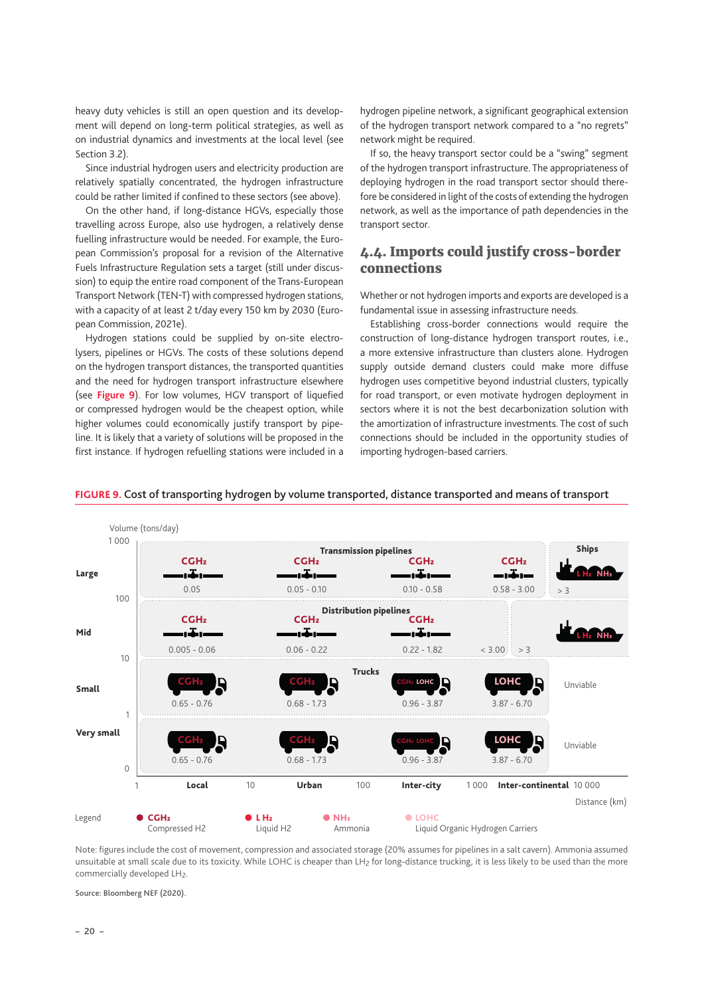<span id="page-19-0"></span>heavy duty vehicles is still an open question and its development will depend on long-term political strategies, as well as on industrial dynamics and investments at the local level (see Section 3.2).

Since industrial hydrogen users and electricity production are relatively spatially concentrated, the hydrogen infrastructure could be rather limited if confined to these sectors (see above).

On the other hand, if long-distance HGVs, especially those travelling across Europe, also use hydrogen, a relatively dense fuelling infrastructure would be needed. For example, the European Commission's proposal for a revision of the Alternative Fuels Infrastructure Regulation sets a target (still under discussion) to equip the entire road component of the Trans-European Transport Network (TEN-T) with compressed hydrogen stations, with a capacity of at least 2 t/day every 150 km by 2030 (European Commission, 2021e).

Hydrogen stations could be supplied by on-site electrolysers, pipelines or HGVs. The costs of these solutions depend on the hydrogen transport distances, the transported quantities and the need for hydrogen transport infrastructure elsewhere (see **Figure 9**). For low volumes, HGV transport of liquefied or compressed hydrogen would be the cheapest option, while higher volumes could economically justify transport by pipeline. It is likely that a variety of solutions will be proposed in the first instance. If hydrogen refuelling stations were included in a hydrogen pipeline network, a significant geographical extension of the hydrogen transport network compared to a "no regrets" network might be required.

If so, the heavy transport sector could be a "swing" segment of the hydrogen transport infrastructure. The appropriateness of deploying hydrogen in the road transport sector should therefore be considered in light of the costs of extending the hydrogen network, as well as the importance of path dependencies in the transport sector.

## 4.4. Imports could justify cross-border connections

Whether or not hydrogen imports and exports are developed is a fundamental issue in assessing infrastructure needs.

Establishing cross-border connections would require the construction of long-distance hydrogen transport routes, i.e., a more extensive infrastructure than clusters alone. Hydrogen supply outside demand clusters could make more diffuse hydrogen uses competitive beyond industrial clusters, typically for road transport, or even motivate hydrogen deployment in sectors where it is not the best decarbonization solution with the amortization of infrastructure investments. The cost of such connections should be included in the opportunity studies of importing hydrogen-based carriers.



#### **FIGURE 9.** Cost of transporting hydrogen by volume transported, distance transported and means of transport

Note: figures include the cost of movement, compression and associated storage (20% assumes for pipelines in a salt cavern). Ammonia assumed unsuitable at small scale due to its toxicity. While LOHC is cheaper than LH<sub>2</sub> for long-distance trucking, it is less likely to be used than the more commercially developed LH<sub>2</sub>.

Source: Bloomberg NEF (2020).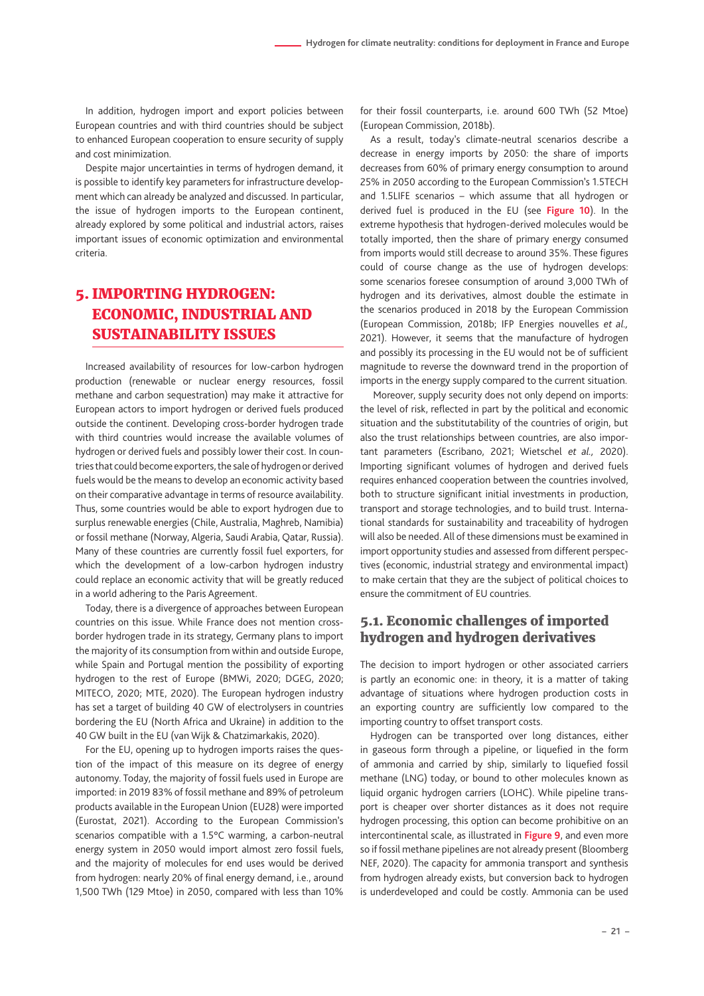<span id="page-20-0"></span>In addition, hydrogen import and export policies between European countries and with third countries should be subject to enhanced European cooperation to ensure security of supply and cost minimization.

Despite major uncertainties in terms of hydrogen demand, it is possible to identify key parameters for infrastructure development which can already be analyzed and discussed. In particular, the issue of hydrogen imports to the European continent, already explored by some political and industrial actors, raises important issues of economic optimization and environmental criteria.

# 5. IMPORTING HYDROGEN: ECONOMIC, INDUSTRIAL AND SUSTAINABILITY ISSUES

Increased availability of resources for low-carbon hydrogen production (renewable or nuclear energy resources, fossil methane and carbon sequestration) may make it attractive for European actors to import hydrogen or derived fuels produced outside the continent. Developing cross-border hydrogen trade with third countries would increase the available volumes of hydrogen or derived fuels and possibly lower their cost. In countries that could become exporters, the sale of hydrogen or derived fuels would be the means to develop an economic activity based on their comparative advantage in terms of resource availability. Thus, some countries would be able to export hydrogen due to surplus renewable energies (Chile, Australia, Maghreb, Namibia) or fossil methane (Norway, Algeria, Saudi Arabia, Qatar, Russia). Many of these countries are currently fossil fuel exporters, for which the development of a low-carbon hydrogen industry could replace an economic activity that will be greatly reduced in a world adhering to the Paris Agreement.

Today, there is a divergence of approaches between European countries on this issue. While France does not mention crossborder hydrogen trade in its strategy, Germany plans to import the majority of its consumption from within and outside Europe, while Spain and Portugal mention the possibility of exporting hydrogen to the rest of Europe (BMWi, 2020; DGEG, 2020; MITECO, 2020; MTE, 2020). The European hydrogen industry has set a target of building 40 GW of electrolysers in countries bordering the EU (North Africa and Ukraine) in addition to the 40 GW built in the EU (van Wijk & Chatzimarkakis, 2020).

For the EU, opening up to hydrogen imports raises the question of the impact of this measure on its degree of energy autonomy. Today, the majority of fossil fuels used in Europe are imported: in 2019 83% of fossil methane and 89% of petroleum products available in the European Union (EU28) were imported (Eurostat, 2021). According to the European Commission's scenarios compatible with a 1.5°C warming, a carbon-neutral energy system in 2050 would import almost zero fossil fuels, and the majority of molecules for end uses would be derived from hydrogen: nearly 20% of final energy demand, i.e., around 1,500 TWh (129 Mtoe) in 2050, compared with less than 10%

for their fossil counterparts, i.e. around 600 TWh (52 Mtoe) (European Commission, 2018b).

As a result, today's climate-neutral scenarios describe a decrease in energy imports by 2050: the share of imports decreases from 60% of primary energy consumption to around 25% in 2050 according to the European Commission's 1.5TECH and 1.5LIFE scenarios – which assume that all hydrogen or derived fuel is produced in the EU (see **Figure 10**). In the extreme hypothesis that hydrogen-derived molecules would be totally imported, then the share of primary energy consumed from imports would still decrease to around 35%. These figures could of course change as the use of hydrogen develops: some scenarios foresee consumption of around 3,000 TWh of hydrogen and its derivatives, almost double the estimate in the scenarios produced in 2018 by the European Commission (European Commission, 2018b; IFP Energies nouvelles *et al.,* 2021). However, it seems that the manufacture of hydrogen and possibly its processing in the EU would not be of sufficient magnitude to reverse the downward trend in the proportion of imports in the energy supply compared to the current situation.

 Moreover, supply security does not only depend on imports: the level of risk, reflected in part by the political and economic situation and the substitutability of the countries of origin, but also the trust relationships between countries, are also important parameters (Escribano, 2021; Wietschel *et al.,* 2020). Importing significant volumes of hydrogen and derived fuels requires enhanced cooperation between the countries involved, both to structure significant initial investments in production, transport and storage technologies, and to build trust. International standards for sustainability and traceability of hydrogen will also be needed. All of these dimensions must be examined in import opportunity studies and assessed from different perspectives (economic, industrial strategy and environmental impact) to make certain that they are the subject of political choices to ensure the commitment of EU countries.

### 5.1. Economic challenges of imported hydrogen and hydrogen derivatives

The decision to import hydrogen or other associated carriers is partly an economic one: in theory, it is a matter of taking advantage of situations where hydrogen production costs in an exporting country are sufficiently low compared to the importing country to offset transport costs.

Hydrogen can be transported over long distances, either in gaseous form through a pipeline, or liquefied in the form of ammonia and carried by ship, similarly to liquefied fossil methane (LNG) today, or bound to other molecules known as liquid organic hydrogen carriers (LOHC). While pipeline transport is cheaper over shorter distances as it does not require hydrogen processing, this option can become prohibitive on an intercontinental scale, as illustrated in **Figure 9**, and even more so if fossil methane pipelines are not already present (Bloomberg NEF, 2020). The capacity for ammonia transport and synthesis from hydrogen already exists, but conversion back to hydrogen is underdeveloped and could be costly. Ammonia can be used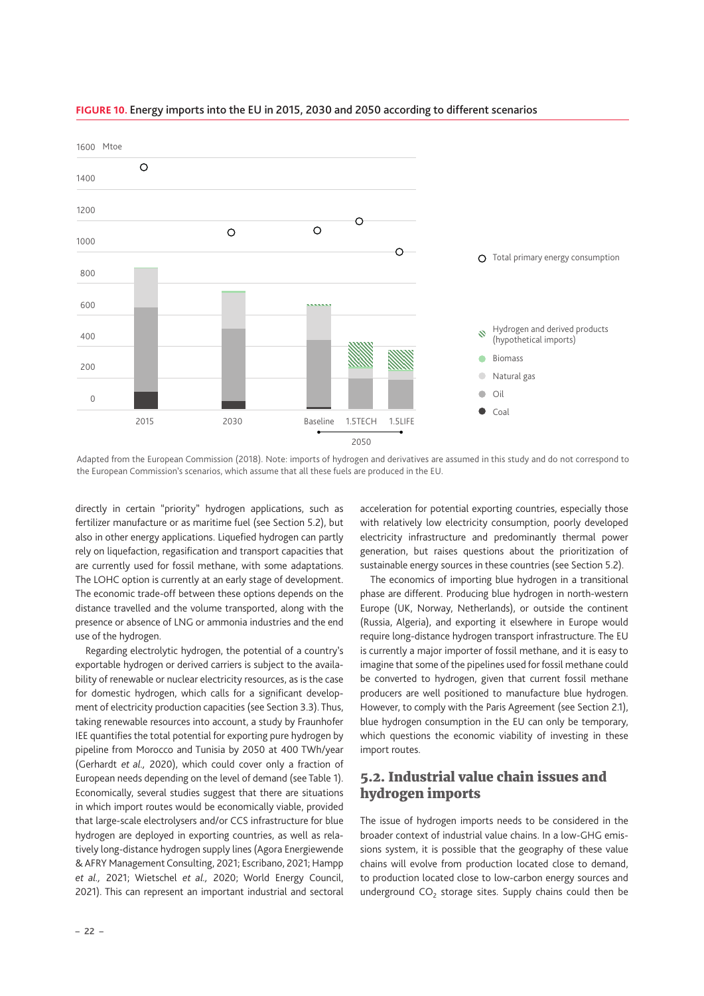

#### <span id="page-21-0"></span>**FIGURE 10.** Energy imports into the EU in 2015, 2030 and 2050 according to different scenarios

Adapted from the European Commission (2018). Note: imports of hydrogen and derivatives are assumed in this study and do not correspond to the European Commission's scenarios, which assume that all these fuels are produced in the EU.

directly in certain "priority" hydrogen applications, such as fertilizer manufacture or as maritime fuel (see Section 5.2), but also in other energy applications. Liquefied hydrogen can partly rely on liquefaction, regasification and transport capacities that are currently used for fossil methane, with some adaptations. The LOHC option is currently at an early stage of development. The economic trade-off between these options depends on the distance travelled and the volume transported, along with the presence or absence of LNG or ammonia industries and the end use of the hydrogen.

Regarding electrolytic hydrogen, the potential of a country's exportable hydrogen or derived carriers is subject to the availability of renewable or nuclear electricity resources, as is the case for domestic hydrogen, which calls for a significant development of electricity production capacities (see Section 3.3). Thus, taking renewable resources into account, a study by Fraunhofer IEE quantifies the total potential for exporting pure hydrogen by pipeline from Morocco and Tunisia by 2050 at 400 TWh/year (Gerhardt *et al.,* 2020), which could cover only a fraction of European needs depending on the level of demand (see Table 1). Economically, several studies suggest that there are situations in which import routes would be economically viable, provided that large-scale electrolysers and/or CCS infrastructure for blue hydrogen are deployed in exporting countries, as well as relatively long-distance hydrogen supply lines (Agora Energiewende & AFRY Management Consulting, 2021; Escribano, 2021; Hampp *et al.,* 2021; Wietschel *et al.,* 2020; World Energy Council, 2021). This can represent an important industrial and sectoral acceleration for potential exporting countries, especially those with relatively low electricity consumption, poorly developed electricity infrastructure and predominantly thermal power generation, but raises questions about the prioritization of sustainable energy sources in these countries (see Section 5.2).

The economics of importing blue hydrogen in a transitional phase are different. Producing blue hydrogen in north-western Europe (UK, Norway, Netherlands), or outside the continent (Russia, Algeria), and exporting it elsewhere in Europe would require long-distance hydrogen transport infrastructure. The EU is currently a major importer of fossil methane, and it is easy to imagine that some of the pipelines used for fossil methane could be converted to hydrogen, given that current fossil methane producers are well positioned to manufacture blue hydrogen. However, to comply with the Paris Agreement (see Section 2.1), blue hydrogen consumption in the EU can only be temporary, which questions the economic viability of investing in these import routes

## 5.2. Industrial value chain issues and hydrogen imports

The issue of hydrogen imports needs to be considered in the broader context of industrial value chains. In a low-GHG emissions system, it is possible that the geography of these value chains will evolve from production located close to demand, to production located close to low-carbon energy sources and underground  $CO<sub>2</sub>$  storage sites. Supply chains could then be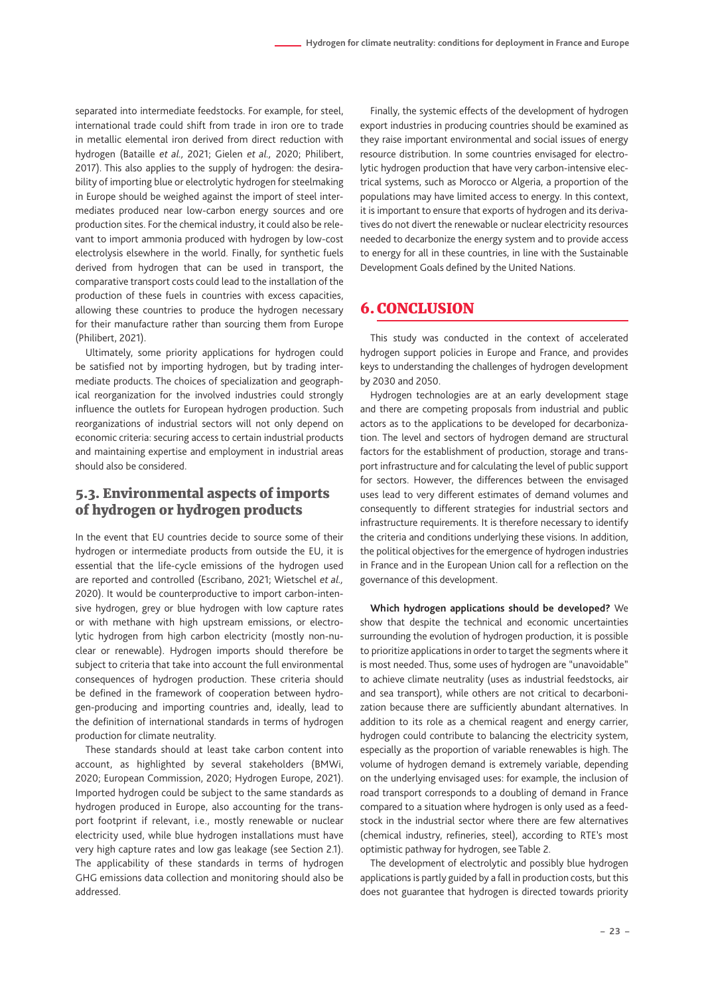<span id="page-22-0"></span>separated into intermediate feedstocks. For example, for steel, international trade could shift from trade in iron ore to trade in metallic elemental iron derived from direct reduction with hydrogen (Bataille *et al.,* 2021; Gielen *et al.,* 2020; Philibert, 2017). This also applies to the supply of hydrogen: the desirability of importing blue or electrolytic hydrogen for steelmaking in Europe should be weighed against the import of steel intermediates produced near low-carbon energy sources and ore production sites. For the chemical industry, it could also be relevant to import ammonia produced with hydrogen by low-cost electrolysis elsewhere in the world. Finally, for synthetic fuels derived from hydrogen that can be used in transport, the comparative transport costs could lead to the installation of the production of these fuels in countries with excess capacities, allowing these countries to produce the hydrogen necessary for their manufacture rather than sourcing them from Europe (Philibert, 2021).

Ultimately, some priority applications for hydrogen could be satisfied not by importing hydrogen, but by trading intermediate products. The choices of specialization and geographical reorganization for the involved industries could strongly influence the outlets for European hydrogen production. Such reorganizations of industrial sectors will not only depend on economic criteria: securing access to certain industrial products and maintaining expertise and employment in industrial areas should also be considered.

# 5.3. Environmental aspects of imports of hydrogen or hydrogen products

In the event that EU countries decide to source some of their hydrogen or intermediate products from outside the EU, it is essential that the life-cycle emissions of the hydrogen used are reported and controlled (Escribano, 2021; Wietschel *et al.,* 2020). It would be counterproductive to import carbon-intensive hydrogen, grey or blue hydrogen with low capture rates or with methane with high upstream emissions, or electrolytic hydrogen from high carbon electricity (mostly non-nuclear or renewable). Hydrogen imports should therefore be subject to criteria that take into account the full environmental consequences of hydrogen production. These criteria should be defined in the framework of cooperation between hydrogen-producing and importing countries and, ideally, lead to the definition of international standards in terms of hydrogen production for climate neutrality.

These standards should at least take carbon content into account, as highlighted by several stakeholders (BMWi, 2020; European Commission, 2020; Hydrogen Europe, 2021). Imported hydrogen could be subject to the same standards as hydrogen produced in Europe, also accounting for the transport footprint if relevant, i.e., mostly renewable or nuclear electricity used, while blue hydrogen installations must have very high capture rates and low gas leakage (see Section 2.1). The applicability of these standards in terms of hydrogen GHG emissions data collection and monitoring should also be addressed.

Finally, the systemic effects of the development of hydrogen export industries in producing countries should be examined as they raise important environmental and social issues of energy resource distribution. In some countries envisaged for electrolytic hydrogen production that have very carbon-intensive electrical systems, such as Morocco or Algeria, a proportion of the populations may have limited access to energy. In this context, it is important to ensure that exports of hydrogen and its derivatives do not divert the renewable or nuclear electricity resources needed to decarbonize the energy system and to provide access to energy for all in these countries, in line with the Sustainable Development Goals defined by the United Nations.

## 6. CONCLUSION

This study was conducted in the context of accelerated hydrogen support policies in Europe and France, and provides keys to understanding the challenges of hydrogen development by 2030 and 2050.

Hydrogen technologies are at an early development stage and there are competing proposals from industrial and public actors as to the applications to be developed for decarbonization. The level and sectors of hydrogen demand are structural factors for the establishment of production, storage and transport infrastructure and for calculating the level of public support for sectors. However, the differences between the envisaged uses lead to very different estimates of demand volumes and consequently to different strategies for industrial sectors and infrastructure requirements. It is therefore necessary to identify the criteria and conditions underlying these visions. In addition, the political objectives for the emergence of hydrogen industries in France and in the European Union call for a reflection on the governance of this development.

**Which hydrogen applications should be developed?** We show that despite the technical and economic uncertainties surrounding the evolution of hydrogen production, it is possible to prioritize applications in order to target the segments where it is most needed. Thus, some uses of hydrogen are "unavoidable" to achieve climate neutrality (uses as industrial feedstocks, air and sea transport), while others are not critical to decarbonization because there are sufficiently abundant alternatives. In addition to its role as a chemical reagent and energy carrier, hydrogen could contribute to balancing the electricity system, especially as the proportion of variable renewables is high. The volume of hydrogen demand is extremely variable, depending on the underlying envisaged uses: for example, the inclusion of road transport corresponds to a doubling of demand in France compared to a situation where hydrogen is only used as a feedstock in the industrial sector where there are few alternatives (chemical industry, refineries, steel), according to RTE's most optimistic pathway for hydrogen, see Table 2.

The development of electrolytic and possibly blue hydrogen applications is partly guided by a fall in production costs, but this does not guarantee that hydrogen is directed towards priority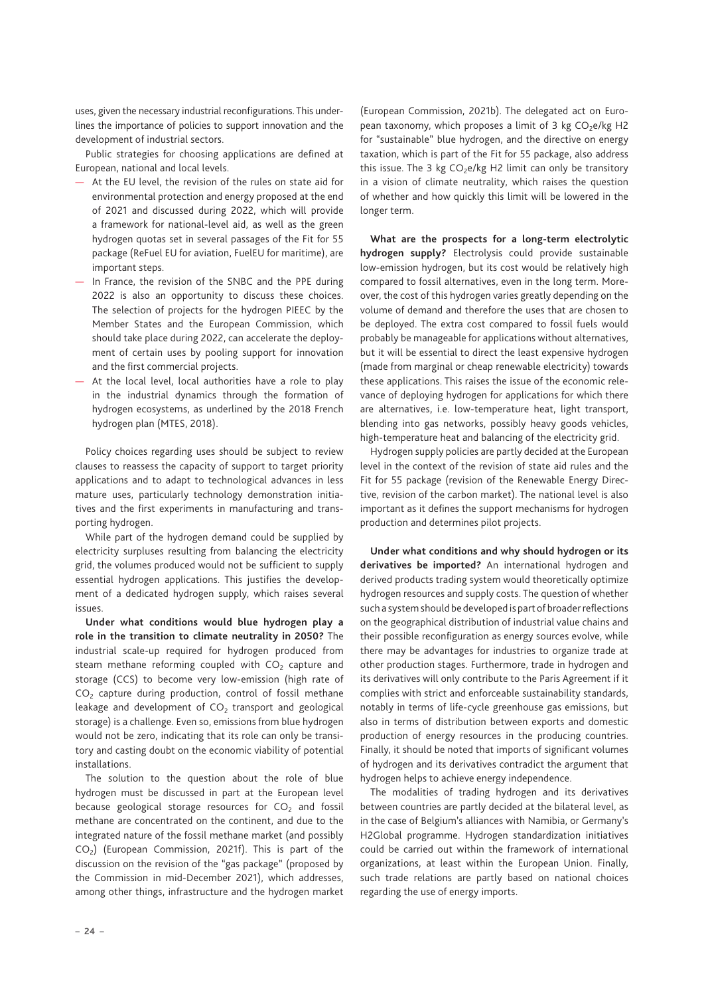uses, given the necessary industrial reconfigurations. This underlines the importance of policies to support innovation and the development of industrial sectors.

Public strategies for choosing applications are defined at European, national and local levels.

- At the EU level, the revision of the rules on state aid for environmental protection and energy proposed at the end of 2021 and discussed during 2022, which will provide a framework for national-level aid, as well as the green hydrogen quotas set in several passages of the Fit for 55 package (ReFuel EU for aviation, FuelEU for maritime), are important steps.
- In France, the revision of the SNBC and the PPE during 2022 is also an opportunity to discuss these choices. The selection of projects for the hydrogen PIEEC by the Member States and the European Commission, which should take place during 2022, can accelerate the deployment of certain uses by pooling support for innovation and the first commercial projects.
- At the local level, local authorities have a role to play in the industrial dynamics through the formation of hydrogen ecosystems, as underlined by the 2018 French hydrogen plan (MTES, 2018).

Policy choices regarding uses should be subject to review clauses to reassess the capacity of support to target priority applications and to adapt to technological advances in less mature uses, particularly technology demonstration initiatives and the first experiments in manufacturing and transporting hydrogen.

While part of the hydrogen demand could be supplied by electricity surpluses resulting from balancing the electricity grid, the volumes produced would not be sufficient to supply essential hydrogen applications. This justifies the development of a dedicated hydrogen supply, which raises several issues.

**Under what conditions would blue hydrogen play a role in the transition to climate neutrality in 2050?** The industrial scale-up required for hydrogen produced from steam methane reforming coupled with  $CO<sub>2</sub>$  capture and storage (CCS) to become very low-emission (high rate of  $CO<sub>2</sub>$  capture during production, control of fossil methane leakage and development of  $CO<sub>2</sub>$  transport and geological storage) is a challenge. Even so, emissions from blue hydrogen would not be zero, indicating that its role can only be transitory and casting doubt on the economic viability of potential installations.

The solution to the question about the role of blue hydrogen must be discussed in part at the European level because geological storage resources for  $CO<sub>2</sub>$  and fossil methane are concentrated on the continent, and due to the integrated nature of the fossil methane market (and possibly  $CO<sub>2</sub>$ ) (European Commission, 2021f). This is part of the discussion on the revision of the "gas package" (proposed by the Commission in mid-December 2021), which addresses, among other things, infrastructure and the hydrogen market

(European Commission, 2021b). The delegated act on European taxonomy, which proposes a limit of 3 kg CO<sub>2</sub>e/kg H2 for "sustainable" blue hydrogen, and the directive on energy taxation, which is part of the Fit for 55 package, also address this issue. The 3 kg  $CO<sub>2</sub>e/kg$  H2 limit can only be transitory in a vision of climate neutrality, which raises the question of whether and how quickly this limit will be lowered in the longer term.

**What are the prospects for a long-term electrolytic hydrogen supply?** Electrolysis could provide sustainable low-emission hydrogen, but its cost would be relatively high compared to fossil alternatives, even in the long term. Moreover, the cost of this hydrogen varies greatly depending on the volume of demand and therefore the uses that are chosen to be deployed. The extra cost compared to fossil fuels would probably be manageable for applications without alternatives, but it will be essential to direct the least expensive hydrogen (made from marginal or cheap renewable electricity) towards these applications. This raises the issue of the economic relevance of deploying hydrogen for applications for which there are alternatives, i.e. low-temperature heat, light transport, blending into gas networks, possibly heavy goods vehicles, high-temperature heat and balancing of the electricity grid.

Hydrogen supply policies are partly decided at the European level in the context of the revision of state aid rules and the Fit for 55 package (revision of the Renewable Energy Directive, revision of the carbon market). The national level is also important as it defines the support mechanisms for hydrogen production and determines pilot projects.

**Under what conditions and why should hydrogen or its derivatives be imported?** An international hydrogen and derived products trading system would theoretically optimize hydrogen resources and supply costs. The question of whether such a system should be developed is part of broader reflections on the geographical distribution of industrial value chains and their possible reconfiguration as energy sources evolve, while there may be advantages for industries to organize trade at other production stages. Furthermore, trade in hydrogen and its derivatives will only contribute to the Paris Agreement if it complies with strict and enforceable sustainability standards, notably in terms of life-cycle greenhouse gas emissions, but also in terms of distribution between exports and domestic production of energy resources in the producing countries. Finally, it should be noted that imports of significant volumes of hydrogen and its derivatives contradict the argument that hydrogen helps to achieve energy independence.

The modalities of trading hydrogen and its derivatives between countries are partly decided at the bilateral level, as in the case of Belgium's alliances with Namibia, or Germany's H2Global programme. Hydrogen standardization initiatives could be carried out within the framework of international organizations, at least within the European Union. Finally, such trade relations are partly based on national choices regarding the use of energy imports.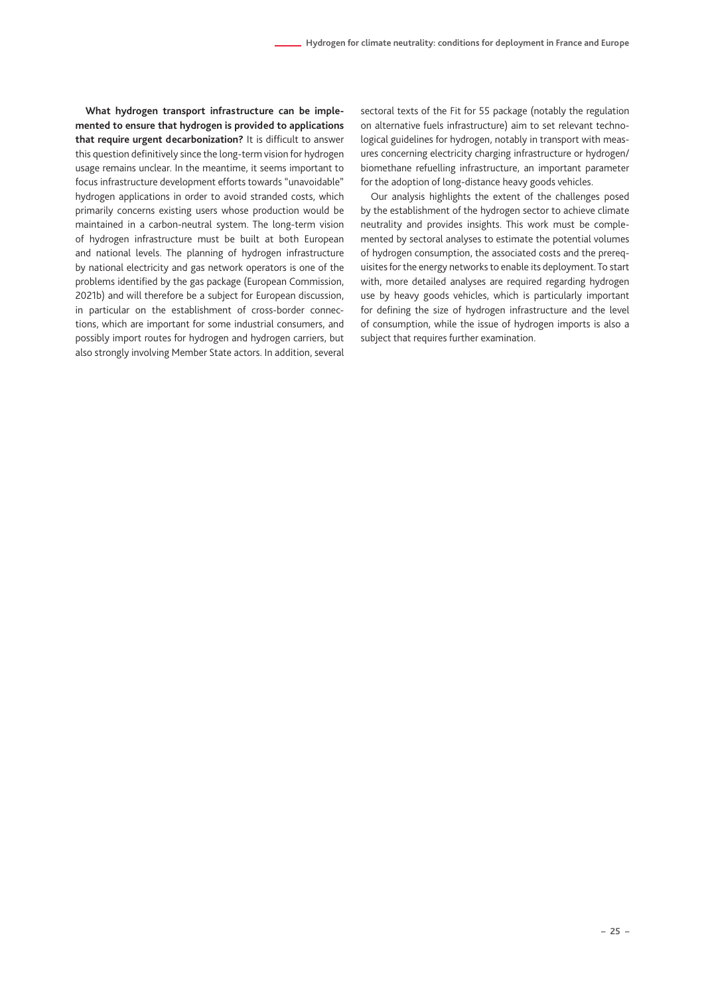**What hydrogen transport infrastructure can be implemented to ensure that hydrogen is provided to applications that require urgent decarbonization?** It is difficult to answer this question definitively since the long-term vision for hydrogen usage remains unclear. In the meantime, it seems important to focus infrastructure development efforts towards "unavoidable" hydrogen applications in order to avoid stranded costs, which primarily concerns existing users whose production would be maintained in a carbon-neutral system. The long-term vision of hydrogen infrastructure must be built at both European and national levels. The planning of hydrogen infrastructure by national electricity and gas network operators is one of the problems identified by the gas package (European Commission, 2021b) and will therefore be a subject for European discussion, in particular on the establishment of cross-border connections, which are important for some industrial consumers, and possibly import routes for hydrogen and hydrogen carriers, but also strongly involving Member State actors. In addition, several sectoral texts of the Fit for 55 package (notably the regulation on alternative fuels infrastructure) aim to set relevant technological guidelines for hydrogen, notably in transport with measures concerning electricity charging infrastructure or hydrogen/ biomethane refuelling infrastructure, an important parameter for the adoption of long-distance heavy goods vehicles.

Our analysis highlights the extent of the challenges posed by the establishment of the hydrogen sector to achieve climate neutrality and provides insights. This work must be complemented by sectoral analyses to estimate the potential volumes of hydrogen consumption, the associated costs and the prerequisites for the energy networks to enable its deployment. To start with, more detailed analyses are required regarding hydrogen use by heavy goods vehicles, which is particularly important for defining the size of hydrogen infrastructure and the level of consumption, while the issue of hydrogen imports is also a subject that requires further examination.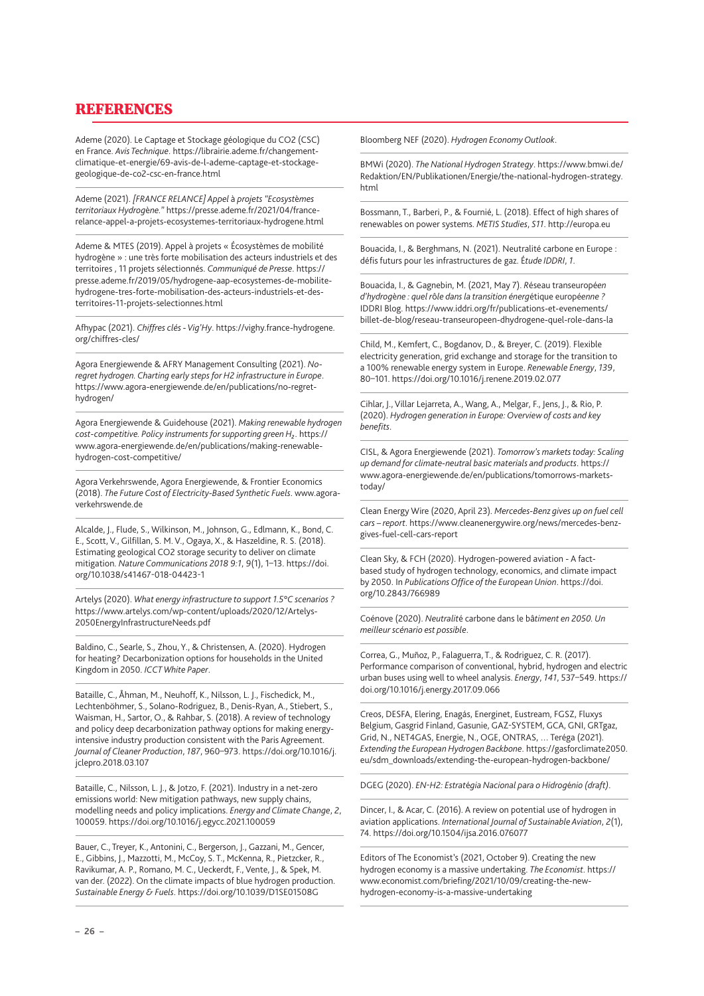# **REFERENCES**

Ademe (2020). Le Captage et Stockage géologique du CO2 (CSC) en France. *Avis Technique*. https://librairie.ademe.fr/changementclimatique-et-energie/69-avis-de-l-ademe-captage-et-stockagegeologique-de-co2-csc-en-france.html

Ademe (2021). *[FRANCE RELANCE] Appel* à *projets "Ecosyst*è*mes territoriaux Hydrog*è*ne."* https://presse.ademe.fr/2021/04/francerelance-appel-a-projets-ecosystemes-territoriaux-hydrogene.html

Ademe & MTES (2019). Appel à projets « Écosystèmes de mobilité hydrogène » : une très forte mobilisation des acteurs industriels et des territoires , 11 projets sélectionnés. *Communiqué de Presse*. https:// presse.ademe.fr/2019/05/hydrogene-aap-ecosystemes-de-mobilitehydrogene-tres-forte-mobilisation-des-acteurs-industriels-et-desterritoires-11-projets-selectionnes.html

Afhypac (2021). *Chiffres clés - Vig'Hy*. https://vighy.france-hydrogene. org/chiffres-cles/

Agora Energiewende & AFRY Management Consulting (2021). *Noregret hydrogen. Charting early steps for H2 infrastructure in Europe*. https://www.agora-energiewende.de/en/publications/no-regrethydrogen/

Agora Energiewende & Guidehouse (2021). *Making renewable hydrogen cost-competitive. Policy instruments for supporting green H₂*. https:// www.agora-energiewende.de/en/publications/making-renewablehydrogen-cost-competitive/

Agora Verkehrswende, Agora Energiewende, & Frontier Economics (2018). *The Future Cost of Electricity-Based Synthetic Fuels*. www.agoraverkehrswende.de

Alcalde, J., Flude, S., Wilkinson, M., Johnson, G., Edlmann, K., Bond, C. E., Scott, V., Gilfillan, S. M. V., Ogaya, X., & Haszeldine, R. S. (2018). Estimating geological CO2 storage security to deliver on climate mitigation. *Nature Communications 2018 9:1*, *9*(1), 1–13. https://doi. org/10.1038/s41467-018-04423-1

Artelys (2020). *What energy infrastructure to support 1.5*°*C scenarios ?* https://www.artelys.com/wp-content/uploads/2020/12/Artelys-2050EnergyInfrastructureNeeds.pdf

Baldino, C., Searle, S., Zhou, Y., & Christensen, A. (2020). Hydrogen for heating? Decarbonization options for households in the United Kingdom in 2050. *ICCT White Paper*.

Bataille, C., Åhman, M., Neuhoff, K., Nilsson, L. J., Fischedick, M., Lechtenböhmer, S., Solano-Rodriguez, B., Denis-Ryan, A., Stiebert, S., Waisman, H., Sartor, O., & Rahbar, S. (2018). A review of technology and policy deep decarbonization pathway options for making energyintensive industry production consistent with the Paris Agreement. *Journal of Cleaner Production*, *187*, 960–973. https://doi.org/10.1016/j. jclepro.2018.03.107

Bataille, C., Nilsson, L. J., & Jotzo, F. (2021). Industry in a net-zero emissions world: New mitigation pathways, new supply chains, modelling needs and policy implications. *Energy and Climate Change*, *2*, 100059. https://doi.org/10.1016/j.egycc.2021.100059

Bauer, C., Treyer, K., Antonini, C., Bergerson, J., Gazzani, M., Gencer, E., Gibbins, J., Mazzotti, M., McCoy, S. T., McKenna, R., Pietzcker, R., Ravikumar, A. P., Romano, M. C., Ueckerdt, F., Vente, J., & Spek, M. van der. (2022). On the climate impacts of blue hydrogen production. *Sustainable Energy & Fuels*. https://doi.org/10.1039/D1SE01508G

Bloomberg NEF (2020). *Hydrogen Economy Outlook*.

BMWi (2020). *The National Hydrogen Strategy*. https://www.bmwi.de/ Redaktion/EN/Publikationen/Energie/the-national-hydrogen-strategy. html

Bossmann, T., Barberi, P., & Fournié, L. (2018). Effect of high shares of renewables on power systems. *METIS Studies*, *S11*. http://europa.eu

Bouacida, I., & Berghmans, N. (2021). Neutralité carbone en Europe : défis futurs pour les infrastructures de gaz. É*tude IDDRI*, *1*.

Bouacida, I., & Gagnebin, M. (2021, May 7). *R*éseau transeuropé*en d'hydrog*è*ne : quel r*ô*le dans la transition énerg*étique europé*enne ?* IDDRI Blog. https://www.iddri.org/fr/publications-et-evenements/ billet-de-blog/reseau-transeuropeen-dhydrogene-quel-role-dans-la

Child, M., Kemfert, C., Bogdanov, D., & Breyer, C. (2019). Flexible electricity generation, grid exchange and storage for the transition to a 100% renewable energy system in Europe. *Renewable Energy*, *139*, 80–101. https://doi.org/10.1016/j.renene.2019.02.077

Cihlar, J., Villar Lejarreta, A., Wang, A., Melgar, F., Jens, J., & Rio, P. (2020). *Hydrogen generation in Europe: Overview of costs and key benefits*.

CISL, & Agora Energiewende (2021). *Tomorrow's markets today: Scaling up demand for climate-neutral basic materials and products*. https:// www.agora-energiewende.de/en/publications/tomorrows-marketstoday/

Clean Energy Wire (2020, April 23). *Mercedes-Benz gives up on fuel cell cars – report*. https://www.cleanenergywire.org/news/mercedes-benzgives-fuel-cell-cars-report

Clean Sky, & FCH (2020). Hydrogen-powered aviation - A factbased study of hydrogen technology, economics, and climate impact by 2050. In *Publications Office of the European Union*. https://doi. org/10.2843/766989

Coénove (2020). *Neutralit*é carbone dans le bâ*timent en 2050. Un meilleur scénario est possible*.

Correa, G., Muñoz, P., Falaguerra, T., & Rodriguez, C. R. (2017). Performance comparison of conventional, hybrid, hydrogen and electric urban buses using well to wheel analysis. *Energy*, *141*, 537–549. https:// doi.org/10.1016/j.energy.2017.09.066

Creos, DESFA, Elering, Enagás, Energinet, Eustream, FGSZ, Fluxys Belgium, Gasgrid Finland, Gasunie, GAZ-SYSTEM, GCA, GNI, GRTgaz, Grid, N., NET4GAS, Energie, N., OGE, ONTRAS, … Teréga (2021). *Extending the European Hydrogen Backbone*. https://gasforclimate2050. eu/sdm\_downloads/extending-the-european-hydrogen-backbone/

DGEG (2020). *EN-H2: Estrat*é*gia Nacional para o Hidrog*é*nio (draft)*.

Dincer, I., & Acar, C. (2016). A review on potential use of hydrogen in aviation applications. *International Journal of Sustainable Aviation*, *2*(1), 74. https://doi.org/10.1504/ijsa.2016.076077

Editors of The Economist's (2021, October 9). Creating the new hydrogen economy is a massive undertaking. *The Economist*. https:// www.economist.com/briefing/2021/10/09/creating-the-newhydrogen-economy-is-a-massive-undertaking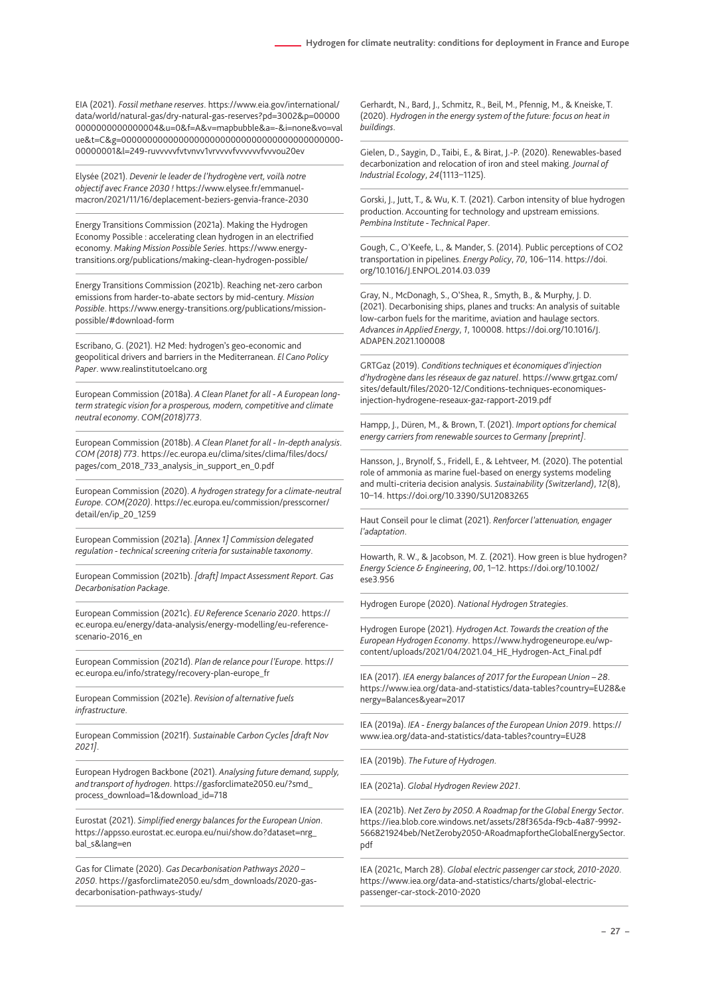EIA (2021). *Fossil methane reserves*. https://www.eia.gov/international/ data/world/natural-gas/dry-natural-gas-reserves?pd=3002&p=00000 0000000000000004&u=0&f=A&v=mapbubble&a=-&i=none&vo=val ue&t=C&g=000000000000000000000000000000000000000000- 00000001&l=249-ruvvvvvfvtvnvv1vrvvvvfvvvvvvfvvvou20ev

Elysée (2021). *Devenir le leader de l'hydrog*è*ne vert, voil*à *notre objectif avec France 2030 !* https://www.elysee.fr/emmanuelmacron/2021/11/16/deplacement-beziers-genvia-france-2030

Energy Transitions Commission (2021a). Making the Hydrogen Economy Possible : accelerating clean hydrogen in an electrified economy. *Making Mission Possible Series*. https://www.energytransitions.org/publications/making-clean-hydrogen-possible/

Energy Transitions Commission (2021b). Reaching net-zero carbon emissions from harder-to-abate sectors by mid-century. *Mission Possible*. https://www.energy-transitions.org/publications/missionpossible/#download-form

Escribano, G. (2021). H2 Med: hydrogen's geo-economic and geopolitical drivers and barriers in the Mediterranean. *El Cano Policy Paper*. www.realinstitutoelcano.org

European Commission (2018a). *A Clean Planet for all - A European longterm strategic vision for a prosperous, modern, competitive and climate neutral economy*. *COM(2018)773*.

European Commission (2018b). *A Clean Planet for all - In-depth analysis*. *COM (2018) 773*. https://ec.europa.eu/clima/sites/clima/files/docs/ pages/com\_2018\_733\_analysis\_in\_support\_en\_0.pdf

European Commission (2020). *A hydrogen strategy for a climate-neutral Europe*. *COM(2020)*. https://ec.europa.eu/commission/presscorner/ detail/en/ip\_20\_1259

European Commission (2021a). *[Annex 1] Commission delegated regulation - technical screening criteria for sustainable taxonomy*.

European Commission (2021b). *[draft] Impact Assessment Report. Gas Decarbonisation Package*.

European Commission (2021c). *EU Reference Scenario 2020*. https:// ec.europa.eu/energy/data-analysis/energy-modelling/eu-referencescenario-2016\_en

European Commission (2021d). *Plan de relance pour l'Europe*. https:// ec.europa.eu/info/strategy/recovery-plan-europe\_fr

European Commission (2021e). *Revision of alternative fuels infrastructure*.

European Commission (2021f). *Sustainable Carbon Cycles [draft Nov 2021]*.

European Hydrogen Backbone (2021). *Analysing future demand, supply, and transport of hydrogen*. https://gasforclimate2050.eu/?smd\_ process\_download=1&download\_id=718

Eurostat (2021). *Simplified energy balances for the European Union*. https://appsso.eurostat.ec.europa.eu/nui/show.do?dataset=nrg\_ bal\_s&lang=en

Gas for Climate (2020). *Gas Decarbonisation Pathways 2020 – 2050*. https://gasforclimate2050.eu/sdm\_downloads/2020-gasdecarbonisation-pathways-study/

Gerhardt, N., Bard, J., Schmitz, R., Beil, M., Pfennig, M., & Kneiske, T. (2020). *Hydrogen in the energy system of the future: focus on heat in buildings*.

Gielen, D., Saygin, D., Taibi, E., & Birat, J.-P. (2020). Renewables-based decarbonization and relocation of iron and steel making. *Journal of Industrial Ecology*, *24*(1113–1125).

Gorski, J., Jutt, T., & Wu, K. T. (2021). Carbon intensity of blue hydrogen production. Accounting for technology and upstream emissions. *Pembina Institute - Technical Paper*.

Gough, C., O'Keefe, L., & Mander, S. (2014). Public perceptions of CO2 transportation in pipelines. *Energy Policy*, *70*, 106–114. https://doi. org/10.1016/J.ENPOL.2014.03.039

Gray, N., McDonagh, S., O'Shea, R., Smyth, B., & Murphy, J. D. (2021). Decarbonising ships, planes and trucks: An analysis of suitable low-carbon fuels for the maritime, aviation and haulage sectors. *Advances in Applied Energy*, *1*, 100008. https://doi.org/10.1016/J. ADAPEN.2021.100008

GRTGaz (2019). *Conditions techniques et économiques d'injection d'hydrog*è*ne dans les réseaux de gaz naturel*. https://www.grtgaz.com/ sites/default/files/2020-12/Conditions-techniques-economiquesinjection-hydrogene-reseaux-gaz-rapport-2019.pdf

Hampp, J., Düren, M., & Brown, T. (2021). *Import options for chemical energy carriers from renewable sources to Germany [preprint]*.

Hansson, J., Brynolf, S., Fridell, E., & Lehtveer, M. (2020). The potential role of ammonia as marine fuel-based on energy systems modeling and multi-criteria decision analysis. *Sustainability (Switzerland)*, *12*(8), 10–14. https://doi.org/10.3390/SU12083265

Haut Conseil pour le climat (2021). *Renforcer l'attenuation, engager l'adaptation*.

Howarth, R. W., & Jacobson, M. Z. (2021). How green is blue hydrogen? *Energy Science & Engineering*, *00*, 1–12. https://doi.org/10.1002/ ese3.956

Hydrogen Europe (2020). *National Hydrogen Strategies*.

Hydrogen Europe (2021). *Hydrogen Act. Towards the creation of the European Hydrogen Economy*. https://www.hydrogeneurope.eu/wpcontent/uploads/2021/04/2021.04\_HE\_Hydrogen-Act\_Final.pdf

IEA (2017). *IEA energy balances of 2017 for the European Union – 28*. https://www.iea.org/data-and-statistics/data-tables?country=EU28&e nergy=Balances&year=2017

IEA (2019a). *IEA - Energy balances of the European Union 2019*. https:// www.iea.org/data-and-statistics/data-tables?country=EU28

IEA (2019b). *The Future of Hydrogen*.

IEA (2021a). *Global Hydrogen Review 2021*.

IEA (2021b). *Net Zero by 2050. A Roadmap for the Global Energy Sector*. https://iea.blob.core.windows.net/assets/28f365da-f9cb-4a87-9992- 566821924beb/NetZeroby2050-ARoadmapfortheGlobalEnergySector. pdf

IEA (2021c, March 28). *Global electric passenger car stock, 2010-2020*. https://www.iea.org/data-and-statistics/charts/global-electricpassenger-car-stock-2010-2020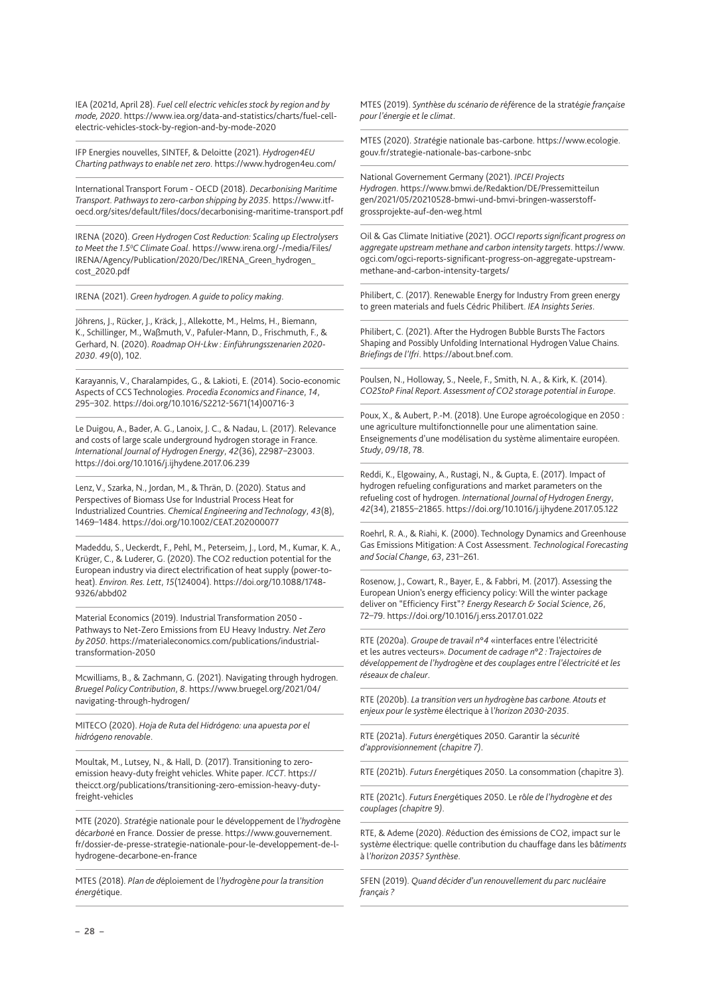IEA (2021d, April 28). *Fuel cell electric vehicles stock by region and by mode, 2020*. https://www.iea.org/data-and-statistics/charts/fuel-cellelectric-vehicles-stock-by-region-and-by-mode-2020

IFP Energies nouvelles, SINTEF, & Deloitte (2021). *Hydrogen4EU Charting pathways to enable net zero*. https://www.hydrogen4eu.com/

International Transport Forum - OECD (2018). *Decarbonising Maritime Transport. Pathways to zero-carbon shipping by 2035*. https://www.itfoecd.org/sites/default/files/docs/decarbonising-maritime-transport.pdf

IRENA (2020). *Green Hydrogen Cost Reduction: Scaling up Electrolysers to Meet the 1.50 C Climate Goal*. https://www.irena.org/-/media/Files/ IRENA/Agency/Publication/2020/Dec/IRENA\_Green\_hydrogen\_ cost\_2020.pdf

IRENA (2021). *Green hydrogen. A guide to policy making*.

Jöhrens, J., Rücker, J., Kräck, J., Allekotte, M., Helms, H., Biemann, K., Schillinger, M., Waßmuth, V., Pafuler-Mann, D., Frischmuth, F., & Gerhard, N. (2020). *Roadmap OH-Lkw : Einf*ü*hrungsszenarien 2020- 2030*. *49*(0), 102.

Karayannis, V., Charalampides, G., & Lakioti, E. (2014). Socio-economic Aspects of CCS Technologies. *Procedia Economics and Finance*, *14*, 295–302. https://doi.org/10.1016/S2212-5671(14)00716-3

Le Duigou, A., Bader, A. G., Lanoix, J. C., & Nadau, L. (2017). Relevance and costs of large scale underground hydrogen storage in France. *International Journal of Hydrogen Energy*, *42*(36), 22987–23003. https://doi.org/10.1016/j.ijhydene.2017.06.239

Lenz, V., Szarka, N., Jordan, M., & Thrän, D. (2020). Status and Perspectives of Biomass Use for Industrial Process Heat for Industrialized Countries. *Chemical Engineering and Technology*, *43*(8), 1469–1484. https://doi.org/10.1002/CEAT.202000077

Madeddu, S., Ueckerdt, F., Pehl, M., Peterseim, J., Lord, M., Kumar, K. A., Krüger, C., & Luderer, G. (2020). The CO2 reduction potential for the European industry via direct electrification of heat supply (power-toheat). *Environ. Res. Lett*, *15*(124004). https://doi.org/10.1088/1748- 9326/abbd02

Material Economics (2019). Industrial Transformation 2050 - Pathways to Net-Zero Emissions from EU Heavy Industry. *Net Zero by 2050*. https://materialeconomics.com/publications/industrialtransformation-2050

Mcwilliams, B., & Zachmann, G. (2021). Navigating through hydrogen. *Bruegel Policy Contribution*, *8*. https://www.bruegel.org/2021/04/ navigating-through-hydrogen/

MITECO (2020). *Hoja de Ruta del Hidrógeno: una apuesta por el hidrógeno renovable*.

Moultak, M., Lutsey, N., & Hall, D. (2017). Transitioning to zeroemission heavy-duty freight vehicles. White paper. *ICCT*. https:// theicct.org/publications/transitioning-zero-emission-heavy-dutyfreight-vehicles

MTE (2020). *Strat*égie nationale pour le développement de l*'hydrog*ène dé*carbon*é en France. Dossier de presse. https://www.gouvernement. fr/dossier-de-presse-strategie-nationale-pour-le-developpement-de-lhydrogene-decarbone-en-france

MTES (2018). *Plan de d*éploiement de l*'hydrog*è*ne pour la transition énerg*étique.

MTES (2019). *Synth*è*se du scénario de r*é*f*érence de la straté*gie fran*ç*aise pour l'énergie et le climat*.

MTES (2020). *Strat*égie nationale bas-carbone. https://www.ecologie. gouv.fr/strategie-nationale-bas-carbone-snbc

National Governement Germany (2021). *IPCEI Projects Hydrogen*. https://www.bmwi.de/Redaktion/DE/Pressemitteilun gen/2021/05/20210528-bmwi-und-bmvi-bringen-wasserstoffgrossprojekte-auf-den-weg.html

Oil & Gas Climate Initiative (2021). *OGCI reports significant progress on aggregate upstream methane and carbon intensity targets*. https://www. ogci.com/ogci-reports-significant-progress-on-aggregate-upstreammethane-and-carbon-intensity-targets/

Philibert, C. (2017). Renewable Energy for Industry From green energy to green materials and fuels Cédric Philibert. *IEA Insights Series*.

Philibert, C. (2021). After the Hydrogen Bubble Bursts The Factors Shaping and Possibly Unfolding International Hydrogen Value Chains. *Briefings de l'Ifri*. https://about.bnef.com.

Poulsen, N., Holloway, S., Neele, F., Smith, N. A., & Kirk, K. (2014). *CO2StoP Final Report. Assessment of CO2 storage potential in Europe*.

Poux, X., & Aubert, P.-M. (2018). Une Europe agroécologique en 2050 : une agriculture multifonctionnelle pour une alimentation saine. Enseignements d'une modélisation du système alimentaire européen. *Study*, *09/18*, 78.

Reddi, K., Elgowainy, A., Rustagi, N., & Gupta, E. (2017). Impact of hydrogen refueling configurations and market parameters on the refueling cost of hydrogen. *International Journal of Hydrogen Energy*, *42*(34), 21855–21865. https://doi.org/10.1016/j.ijhydene.2017.05.122

Roehrl, R. A., & Riahi, K. (2000). Technology Dynamics and Greenhouse Gas Emissions Mitigation: A Cost Assessment. *Technological Forecasting and Social Change*, *63*, 231–261.

Rosenow, J., Cowart, R., Bayer, E., & Fabbri, M. (2017). Assessing the European Union's energy efficiency policy: Will the winter package deliver on "Efficiency First"? *Energy Research & Social Science*, *26*, 72–79. https://doi.org/10.1016/j.erss.2017.01.022

RTE (2020a). *Groupe de travail n*°*4* «interfaces entre l'électricité et les autres vecteurs»*. Document de cadrage n*°*2 : Trajectoires de développement de l'hydrog*è*ne et des couplages entre l'électricité et les réseaux de chaleur*.

RTE (2020b). *La transition vers un hydrog*è*ne bas carbone. Atouts et enjeux pour le syst*è*me* électrique à l*'horizon 2030-2035*.

RTE (2021a). *Futurs* é*nerg*étiques 2050. Garantir la sé*curit*é *d'approvisionnement (chapitre 7)*.

RTE (2021b). *Futurs Energ*étiques 2050. La consommation (chapitre 3).

RTE (2021c). *Futurs Energ*étiques 2050. Le rô*le de l'hydrog*è*ne et des couplages (chapitre 9)*.

RTE, & Ademe (2020). *R*éduction des émissions de CO2, impact sur le systè*me* électrique: quelle contribution du chauffage dans les bâ*timents*  à l*'horizon 2035? Synth*è*se*.

SFEN (2019). *Quand décider d'un renouvellement du parc nucléaire fran*ç*ais ?*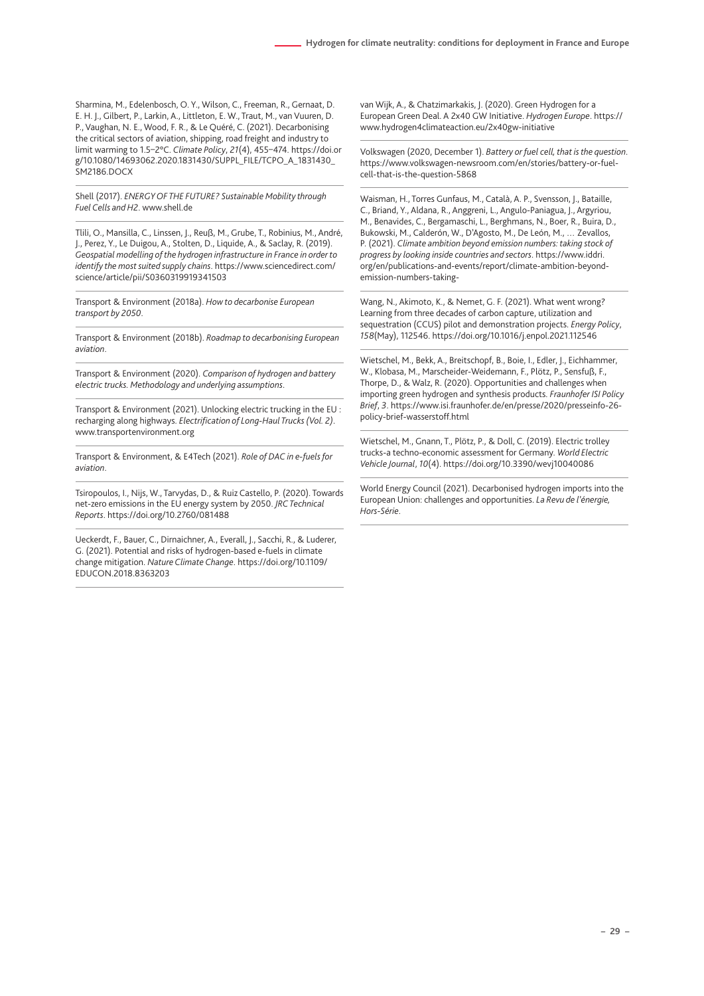Sharmina, M., Edelenbosch, O. Y., Wilson, C., Freeman, R., Gernaat, D. E. H. J., Gilbert, P., Larkin, A., Littleton, E. W., Traut, M., van Vuuren, D. P., Vaughan, N. E., Wood, F. R., & Le Quéré, C. (2021). Decarbonising the critical sectors of aviation, shipping, road freight and industry to limit warming to 1.5–2°C. *Climate Policy*, *21*(4), 455–474. https://doi.or g/10.1080/14693062.2020.1831430/SUPPL\_FILE/TCPO\_A\_1831430\_ SM2186.DOCX

Shell (2017). *ENERGY OF THE FUTURE? Sustainable Mobility through Fuel Cells and H2*. www.shell.de

Tlili, O., Mansilla, C., Linssen, J., Reuß, M., Grube, T., Robinius, M., André, J., Perez, Y., Le Duigou, A., Stolten, D., Liquide, A., & Saclay, R. (2019). *Geospatial modelling of the hydrogen infrastructure in France in order to identify the most suited supply chains*. https://www.sciencedirect.com/ science/article/pii/S0360319919341503

Transport & Environment (2018a). *How to decarbonise European transport by 2050*.

Transport & Environment (2018b). *Roadmap to decarbonising European aviation*.

Transport & Environment (2020). *Comparison of hydrogen and battery electric trucks. Methodology and underlying assumptions*.

Transport & Environment (2021). Unlocking electric trucking in the EU : recharging along highways. *Electrification of Long-Haul Trucks (Vol. 2)*. www.transportenvironment.org

Transport & Environment, & E4Tech (2021). *Role of DAC in e-fuels for aviation*.

Tsiropoulos, I., Nijs, W., Tarvydas, D., & Ruiz Castello, P. (2020). Towards net-zero emissions in the EU energy system by 2050. *JRC Technical Reports*. https://doi.org/10.2760/081488

Ueckerdt, F., Bauer, C., Dirnaichner, A., Everall, J., Sacchi, R., & Luderer, G. (2021). Potential and risks of hydrogen-based e-fuels in climate change mitigation. *Nature Climate Change*. https://doi.org/10.1109/ EDUCON.2018.8363203

van Wijk, A., & Chatzimarkakis, J. (2020). Green Hydrogen for a European Green Deal. A 2x40 GW Initiative. *Hydrogen Europe*. https:// www.hydrogen4climateaction.eu/2x40gw-initiative

Volkswagen (2020, December 1). *Battery or fuel cell, that is the question*. https://www.volkswagen-newsroom.com/en/stories/battery-or-fuelcell-that-is-the-question-5868

Waisman, H., Torres Gunfaus, M., Català, A. P., Svensson, J., Bataille, C., Briand, Y., Aldana, R., Anggreni, L., Angulo-Paniagua, J., Argyriou, M., Benavides, C., Bergamaschi, L., Berghmans, N., Boer, R., Buira, D., Bukowski, M., Calderón, W., D'Agosto, M., De León, M., … Zevallos, P. (2021). *Climate ambition beyond emission numbers: taking stock of progress by looking inside countries and sectors*. https://www.iddri. org/en/publications-and-events/report/climate-ambition-beyondemission-numbers-taking-

Wang, N., Akimoto, K., & Nemet, G. F. (2021). What went wrong? Learning from three decades of carbon capture, utilization and sequestration (CCUS) pilot and demonstration projects. *Energy Policy*, *158*(May), 112546. https://doi.org/10.1016/j.enpol.2021.112546

Wietschel, M., Bekk, A., Breitschopf, B., Boie, I., Edler, J., Eichhammer, W., Klobasa, M., Marscheider-Weidemann, F., Plötz, P., Sensfuß, F., Thorpe, D., & Walz, R. (2020). Opportunities and challenges when importing green hydrogen and synthesis products. *Fraunhofer ISI Policy Brief*, *3*. https://www.isi.fraunhofer.de/en/presse/2020/presseinfo-26 policy-brief-wasserstoff.html

Wietschel, M., Gnann, T., Plötz, P., & Doll, C. (2019). Electric trolley trucks-a techno-economic assessment for Germany. *World Electric Vehicle Journal*, *10*(4). https://doi.org/10.3390/wevj10040086

World Energy Council (2021). Decarbonised hydrogen imports into the European Union: challenges and opportunities. *La Revu de l'énergie, Hors-Série*.